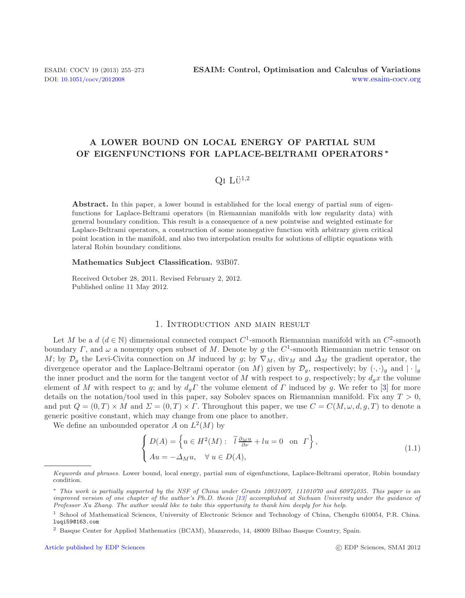# **A LOWER BOUND ON LOCAL ENERGY OF PARTIAL SUM OF EIGENFUNCTIONS FOR LAPLACE-BELTRAMI OPERATORS** *∗*

## $QI$  Li<sup> $1,2$ </sup>

Abstract. In this paper, a lower bound is established for the local energy of partial sum of eigenfunctions for Laplace-Beltrami operators (in Riemannian manifolds with low regularity data) with general boundary condition. This result is a consequence of a new pointwise and weighted estimate for Laplace-Beltrami operators, a construction of some nonnegative function with arbitrary given critical point location in the manifold, and also two interpolation results for solutions of elliptic equations with lateral Robin boundary conditions.

#### **Mathematics Subject Classification.** 93B07.

Received October 28, 2011. Revised February 2, 2012. Published online 11 May 2012.

### 1. Introduction and main result

Let M be a d  $(d \in \mathbb{N})$  dimensional connected compact C<sup>1</sup>-smooth Riemannian manifold with an C<sup>2</sup>-smooth boundary Γ, and  $\omega$  a nonempty open subset of M. Denote by g the C<sup>1</sup>-smooth Riemannian metric tensor on M; by  $\mathcal{D}_g$  the Levi-Civita connection on M induced by g; by  $\nabla_M$ , div<sub>M</sub> and  $\Delta_M$  the gradient operator, the divergence operator and the Laplace-Beltrami operator (on M) given by  $\mathcal{D}_g$ , respectively; by  $(\cdot, \cdot)_g$  and  $|\cdot|_g$ the inner product and the norm for the tangent vector of M with respect to g, respectively; by  $d_g x$  the volume element of M with respect to g; and by  $d_q\Gamma$  the volume element of  $\Gamma$  induced by g. We refer to [\[3\]](#page-17-0) for more details on the notation/tool used in this paper, say Sobolev spaces on Riemannian manifold. Fix any  $T > 0$ , and put  $Q = (0, T) \times M$  and  $\Sigma = (0, T) \times \Gamma$ . Throughout this paper, we use  $C = C(M, \omega, d, q, T)$  to denote a generic positive constant, which may change from one place to another.

We define an unbounded operator A on  $L^2(M)$  by

$$
\begin{cases}\nD(A) = \left\{ u \in H^2(M) : \tilde{l} \frac{\partial_M u}{\partial \nu} + l u = 0 \text{ on } \Gamma \right\}, \\
Au = -\Delta_M u, \quad \forall u \in D(A),\n\end{cases} \tag{1.1}
$$

Keywords and phrases. Lower bound, local energy, partial sum of eigenfunctions, Laplace-Beltrami operator, Robin boundary condition.

<sup>∗</sup> This work is partially supported by the NSF of China under Grants 10831007, 11101070 and 60974035. This paper is an improved version of one chapter of the author's Ph.D. thesis [\[13](#page-17-1)] accomplished at Sichuan University under the guidance of Professor Xu Zhang. The author would like to take this opportunity to thank him deeply for his help.

<sup>1</sup> School of Mathematical Sciences, University of Electronic Science and Technology of China, Chengdu 610054, P.R. China. luqi59@163.com

<sup>2</sup> Basque Center for Applied Mathematics (BCAM), Mazarredo, 14, 48009 Bilbao Basque Country, Spain.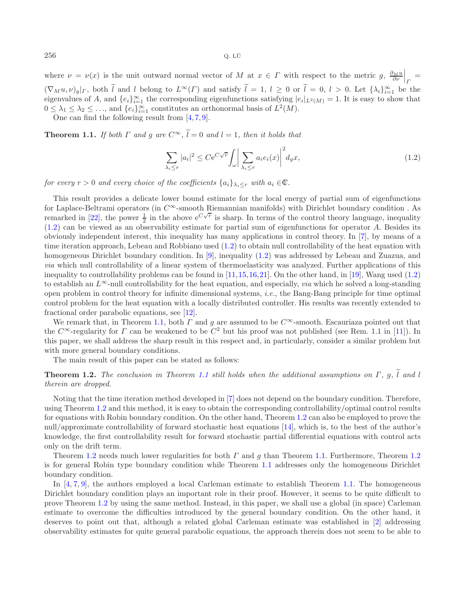where  $\nu = \nu(x)$  is the unit outward normal vector of M at  $x \in \Gamma$  with respect to the metric g,  $\frac{\partial_M u}{\partial \nu}$  $\left.\frac{\partial u}{\partial \nu}\right|_{\Gamma} =$  $(\nabla_M u, \nu)_g|_{\Gamma}$ , both l and l belong to  $L^{\infty}(\Gamma)$  and satisfy  $l = 1, l \ge 0$  or  $l = 0, l > 0$ . Let  $\{\lambda_i\}_{i=1}^{\infty}$  be the eigenvalues of 4 and  $\{e, l^{\infty}$  the corresponding eigenfunctions satisfying  $|e|_{\Gamma}$  and  $\Gamma$ eigenvalues of A, and  $\{e_i\}_{i=1}^{\infty}$  the corresponding eigenfunctions satisfying  $|e_i|_{L^2(M)} = 1$ . It is easy to show that  $0 \le \lambda_i \le \lambda_i \le \max_{i=1}^{\infty} L_i \log \mathcal{L}$  constitutes an orthonormal basis of  $L^2(M)$  $0 \leq \lambda_1 \leq \lambda_2 \leq \ldots$ , and  $\{e_i\}_{i=1}^{\infty}$  constitutes an orthonormal basis of  $L^2(M)$ .<br>One can find the following result from [4.7, 9]

One can find the following result from  $[4, 7, 9]$  $[4, 7, 9]$  $[4, 7, 9]$  $[4, 7, 9]$  $[4, 7, 9]$ .

<span id="page-1-1"></span>**Theorem 1.1.** *If both*  $\Gamma$  *and*  $q$  *are*  $C^{\infty}$ ,  $\tilde{l} = 0$  *and*  $l = 1$ *, then it holds that* 

<span id="page-1-2"></span><span id="page-1-0"></span>
$$
\sum_{\lambda_i \le r} |a_i|^2 \le C e^{C\sqrt{r}} \int_{\omega} \left| \sum_{\lambda_i \le r} a_i e_i(x) \right|^2 d_g x, \tag{1.2}
$$

*for every*  $r > 0$  *and every choice of the coefficients*  $\{a_i\}_{\lambda_i \leq r}$  *with*  $a_i \in \mathbb{C}$ *.* 

This result provides a delicate lower bound estimate for the local energy of partial sum of eigenfunctions for Laplace-Beltrami operators (in  $C^{\infty}$ -smooth Riemannian manifolds) with Dirichlet boundary condition. As remarked in [\[22\]](#page-18-0), the power  $\frac{1}{2}$  in the above  $e^{C\sqrt{r}}$  is sharp. In terms of the control theory language, inequality [\(1.2\)](#page-1-0) can be viewed as an observability estimate for partial sum of eigenfunctions for operator A. Besides its obviously independent interest, this inequality has many applications in control theory. In [\[7\]](#page-17-3), by means of a time iteration approach, Lebeau and Robbiano used [\(1.2\)](#page-1-0) to obtain null controllability of the heat equation with homogeneous Dirichlet boundary condition. In [\[9\]](#page-17-4), inequality [\(1.2\)](#page-1-0) was addressed by Lebeau and Zuazua, and *via* which null controllability of a linear system of thermoelasticity was analyzed. Further applications of this inequality to controllability problems can be found in  $[11,15,16,21]$  $[11,15,16,21]$  $[11,15,16,21]$  $[11,15,16,21]$ . On the other hand, in [\[19\]](#page-18-4), Wang used  $(1.2)$ to establish an  $L^{\infty}$ -null controllability for the heat equation, and especially, *via* which he solved a long-standing open problem in control theory for infinite dimensional systems, *i.e.*, the Bang-Bang principle for time optimal control problem for the heat equation with a locally distributed controller. His results was recently extended to fractional order parabolic equations, see [\[12](#page-17-6)].

We remark that, in Theorem [1.1,](#page-1-1) both  $\Gamma$  and g are assumed to be  $C^{\infty}$ -smooth. Escauriaza pointed out that the  $C^{\infty}$ -regularity for  $\Gamma$  can be weakened to be  $C^2$  but his proof was not published (see Rem. 1.1 in [\[11\]](#page-17-5)). In this paper, we shall address the sharp result in this respect and, in particularly, consider a similar problem but with more general boundary conditions.

The main result of this paper can be stated as follows:

**Theorem 1.2.** *The conclusion in Theorem [1.1](#page-1-1) still holds when the additional assumptions on* Γ, q,  $\tilde{l}$  and l *therein are dropped.*

Noting that the time iteration method developed in [\[7\]](#page-17-3) does not depend on the boundary condition. Therefore, using Theorem [1.2](#page-1-2) and this method, it is easy to obtain the corresponding controllability/optimal control results for equations with Robin boundary condition. On the other hand, Theorem [1.2](#page-1-2) can also be employed to prove the null/approximate controllability of forward stochastic heat equations [\[14\]](#page-18-5), which is, to the best of the author's knowledge, the first controllability result for forward stochastic partial differential equations with control acts only on the drift term.

Theorem [1.2](#page-1-2) needs much lower regularities for both  $\Gamma$  and  $g$  than Theorem [1.1.](#page-1-1) Furthermore, Theorem 1.2 is for general Robin type boundary condition while Theorem [1.1](#page-1-1) addresses only the homogeneous Dirichlet boundary condition.

In [\[4](#page-17-2), [7](#page-17-3), [9\]](#page-17-4), the authors employed a local Carleman estimate to establish Theorem [1.1.](#page-1-1) The homogeneous Dirichlet boundary condition plays an important role in their proof. However, it seems to be quite difficult to prove Theorem [1.2](#page-1-2) by using the same method. Instead, in this paper, we shall use a global (in space) Carleman estimate to overcome the difficulties introduced by the general boundary condition. On the other hand, it deserves to point out that, although a related global Carleman estimate was established in [\[2](#page-17-7)] addressing observability estimates for quite general parabolic equations, the approach therein does not seem to be able to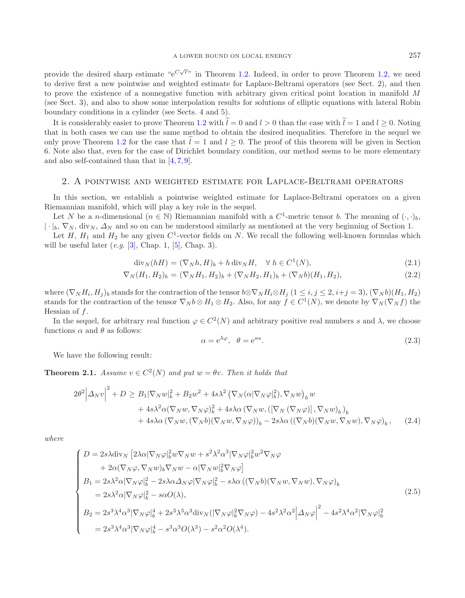provide the desired sharp estimate " $e^{C\sqrt{r}}$ " in Theorem [1.2.](#page-1-2) Indeed, in order to prove Theorem [1.2,](#page-1-2) we need to derive first a new pointwise and weighted estimate for Laplace-Beltrami operators (see Sect. 2), and then to prove the existence of a nonnegative function with arbitrary given critical point location in manifold M (see Sect. 3), and also to show some interpolation results for solutions of elliptic equations with lateral Robin boundary conditions in a cylinder (see Sects. 4 and 5).

It is considerably easier to prove Theorem [1.2](#page-1-2) with  $\tilde{l} = 0$  and  $l > 0$  than the case with  $\tilde{l} = 1$  and  $l \geq 0$ . Noting that in both cases we can use the same method to obtain the desired inequalities. Therefore in the sequel we only prove Theorem [1.2](#page-1-2) for the case that  $l = 1$  and  $l \geq 0$ . The proof of this theorem will be given in Section 6. Note also that, even for the case of Dirichlet boundary condition, our method seems to be more elementary and also self-contained than that in [\[4,](#page-17-2) [7,](#page-17-3) [9](#page-17-4)].

### 2. A pointwise and weighted estimate for Laplace-Beltrami operators

In this section, we establish a pointwise weighted estimate for Laplace-Beltrami operators on a given Riemannian manifold, which will play a key role in the sequel.

Let N be a n-dimensional  $(n \in \mathbb{N})$  Riemannian manifold with a  $C^1$ -metric tensor b. The meaning of  $(\cdot, \cdot)_b$ ,  $|\cdot|_b, \nabla_N$ , div<sub>N</sub>,  $\Delta_N$  and so on can be understood similarly as mentioned at the very beginning of Section 1.

<span id="page-2-2"></span>Let  $H$ ,  $H_1$  and  $H_2$  be any given  $C^1$ -vector fields on N. We recall the following well-known formulas which will be useful later (*e.g.* [\[3](#page-17-0)], Chap. 1, [\[5](#page-17-8)], Chap. 3).

$$
\operatorname{div}_N(hH) = (\nabla_N h, H)_b + h \operatorname{div}_N H, \quad \forall \ h \in C^1(N),
$$
\n
$$
(\mathbf{I} \cap \mathbf{I}) \cap \mathbf{I} \cap \mathbf{I} \cap \mathbf{I} \cap \mathbf{I} \cap \mathbf{I} \cap \mathbf{I} \cap \mathbf{I} \cap \mathbf{I} \cap \mathbf{I} \cap \mathbf{I} \cap \mathbf{I} \cap \mathbf{I} \cap \mathbf{I} \cap \mathbf{I} \cap \mathbf{I} \cap \mathbf{I} \cap \mathbf{I} \cap \mathbf{I} \cap \mathbf{I} \cap \mathbf{I} \cap \mathbf{I} \cap \mathbf{I} \cap \mathbf{I} \cap \mathbf{I} \cap \mathbf{I} \cap \mathbf{I} \cap \mathbf{I} \cap \mathbf{I} \cap \mathbf{I} \cap \mathbf{I} \cap \mathbf{I} \cap \mathbf{I} \cap \mathbf{I} \cap \mathbf{I} \cap \mathbf{I} \cap \mathbf{I} \cap \mathbf{I} \cap \mathbf{I} \cap \mathbf{I} \cap \mathbf{I} \cap \mathbf{I} \cap \mathbf{I} \cap \mathbf{I} \cap \mathbf{I} \cap \mathbf{I} \cap \mathbf{I} \cap \mathbf{I} \cap \mathbf{I} \cap \mathbf{I} \cap \mathbf{I} \cap \mathbf{I} \cap \mathbf{I} \cap \mathbf{I} \cap \mathbf{I} \cap \mathbf{I} \cap \mathbf{I} \cap \mathbf{I} \cap \mathbf{I} \cap \mathbf{I} \cap \mathbf{I} \cap \mathbf{I} \cap \mathbf{I} \cap \mathbf{I} \cap \mathbf{I} \cap \mathbf{I} \cap \mathbf{I} \cap \mathbf{I} \cap \mathbf{I} \cap \mathbf{I} \cap \mathbf{I} \cap \mathbf{I} \cap \mathbf{I} \cap \mathbf{I} \cap \mathbf{I} \cap \mathbf{I} \cap \mathbf{I} \cap \mathbf{I} \cap \mathbf{I} \cap \mathbf{I} \cap \mathbf{I} \cap \mathbf{I} \cap \mathbf{I} \cap \mathbf{I} \cap \mathbf{I} \cap \mathbf{I} \cap \mathbf{I} \cap \
$$

$$
\nabla_N(H_1, H_2)_b = (\nabla_N H_1, H_2)_b + (\nabla_N H_2, H_1)_b + (\nabla_N b)(H_1, H_2), \tag{2.2}
$$

where  $(\nabla_N H_i, H_j)_b$  stands for the contraction of the tensor  $b \otimes \nabla_N H_i \otimes H_j$   $(1 \leq i, j \leq 2, i+j = 3), (\nabla_N b)(H_1, H_2)$ stands for the contraction of the tensor  $\nabla_N b \otimes H_1 \otimes H_2$ . Also, for any  $f \in C^1(N)$ , we denote by  $\nabla_N(\nabla_N f)$  the Hessian of f.

In the sequel, for arbitrary real function  $\varphi \in C^2(N)$  and arbitrary positive real numbers s and  $\lambda$ , we choose functions  $\alpha$  and  $\theta$  as follows:

$$
\alpha = e^{\lambda \varphi}, \quad \theta = e^{s\alpha}.
$$
\n<sup>(2.3)</sup>

We have the following result:

<span id="page-2-1"></span><span id="page-2-0"></span>**Theorem 2.1.** *Assume*  $v \in C^2(N)$  *and put*  $w = \theta v$ *. Then it holds that* 

$$
2\theta^{2} \Big|\Delta_{N}v\Big|^{2} + D \geq B_{1}|\nabla_{N}w|_{b}^{2} + B_{2}w^{2} + 4s\lambda^{2} \left(\nabla_{N}(\alpha|\nabla_{N}\varphi|_{b}^{2}), \nabla_{N}w\right)_{b} w + 4s\lambda^{2} \alpha (\nabla_{N}w, \nabla_{N}\varphi)_{b}^{2} + 4s\lambda\alpha \left(\nabla_{N}w, \left([\nabla_{N}(\nabla_{N}\varphi)], \nabla_{N}w\right)_{b}\right)_{b} + 4s\lambda\alpha \left(\nabla_{N}w, (\nabla_{N}b)(\nabla_{N}w, \nabla_{N}\varphi)\right)_{b} - 2s\lambda\alpha \left((\nabla_{N}b)(\nabla_{N}w, \nabla_{N}w), \nabla_{N}\varphi\right)_{b}, \quad (2.4)
$$

*where*

$$
\begin{cases}\nD = 2s\lambda \text{div}_{N} \left[ 2\lambda \alpha |\nabla_{N} \varphi|_{b}^{2} w \nabla_{N} w + s^{2} \lambda^{2} \alpha^{3} |\nabla_{N} \varphi|_{b}^{2} w^{2} \nabla_{N} \varphi \\
+ 2\alpha (\nabla_{N} \varphi, \nabla_{N} w)_{b} \nabla_{N} w - \alpha |\nabla_{N} w|_{b}^{2} \nabla_{N} \varphi \right] \\
B_{1} = 2s\lambda^{2} \alpha |\nabla_{N} \varphi|_{b}^{2} - 2s\lambda \alpha \Delta_{N} \varphi |\nabla_{N} \varphi|_{b}^{2} - s\lambda \alpha \left( (\nabla_{N} b)(\nabla_{N} w, \nabla_{N} w), \nabla_{N} \varphi \right)_{b} \\
= 2s\lambda^{2} \alpha |\nabla_{N} \varphi|_{b}^{2} - s\alpha O(\lambda), \\
B_{2} = 2s^{3} \lambda^{4} \alpha^{3} |\nabla_{N} \varphi|_{b}^{4} + 2s^{3} \lambda^{3} \alpha^{3} \text{div}_{N} (|\nabla_{N} \varphi|_{b}^{2} \nabla_{N} \varphi) - 4s^{2} \lambda^{2} \alpha^{2} |\Delta_{N} \varphi|^{2} - 4s^{2} \lambda^{4} \alpha^{2} |\nabla_{N} \varphi|_{b}^{2} \\
= 2s^{3} \lambda^{4} \alpha^{3} |\nabla_{N} \varphi|_{b}^{4} - s^{3} \alpha^{3} O(\lambda^{3}) - s^{2} \alpha^{2} O(\lambda^{4}).\n\end{cases}
$$
\n(2.5)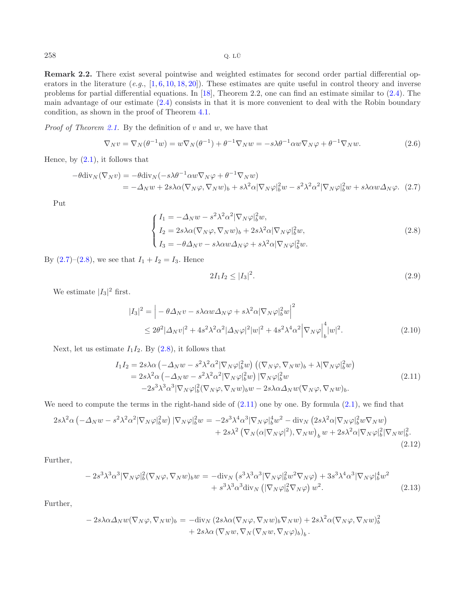**Remark 2.2.** There exist several pointwise and weighted estimates for second order partial differential operators in the literature (*e.g.*, [\[1,](#page-17-9) [6](#page-17-10), [10,](#page-17-11) [18,](#page-18-6) [20](#page-18-7)]). These estimates are quite useful in control theory and inverse problems for partial differential equations. In [\[18\]](#page-18-6), Theorem 2.2, one can find an estimate similar to [\(2.4\)](#page-2-0). The main advantage of our estimate [\(2.4\)](#page-2-0) consists in that it is more convenient to deal with the Robin boundary condition, as shown in the proof of Theorem [4.1.](#page-6-0)

*Proof of Theorem [2.1.](#page-2-1)* By the definition of v and w, we have that

<span id="page-3-3"></span>
$$
\nabla_N v = \nabla_N(\theta^{-1} w) = w \nabla_N(\theta^{-1}) + \theta^{-1} \nabla_N w = -s \lambda \theta^{-1} \alpha w \nabla_N \varphi + \theta^{-1} \nabla_N w.
$$
\n(2.6)

<span id="page-3-0"></span>Hence, by  $(2.1)$ , it follows that

$$
-\theta \text{div}_N(\nabla_N v) = -\theta \text{div}_N(-s\lambda \theta^{-1} \alpha w \nabla_N \varphi + \theta^{-1} \nabla_N w)
$$
  
=  $-\Delta_N w + 2s\lambda \alpha (\nabla_N \varphi, \nabla_N w)_b + s\lambda^2 \alpha |\nabla_N \varphi|_b^2 w - s^2 \lambda^2 \alpha^2 |\nabla_N \varphi|_b^2 w + s\lambda \alpha w \Delta_N \varphi.$  (2.7)

<span id="page-3-1"></span>Put

$$
\begin{cases}\nI_1 = -\Delta_N w - s^2 \lambda^2 \alpha^2 |\nabla_N \varphi|_b^2 w, \\
I_2 = 2s \lambda \alpha (\nabla_N \varphi, \nabla_N w)_b + 2s \lambda^2 \alpha |\nabla_N \varphi|_b^2 w, \\
I_3 = -\theta \Delta_N v - s \lambda \alpha w \Delta_N \varphi + s \lambda^2 \alpha |\nabla_N \varphi|_b^2 w.\n\end{cases} (2.8)
$$

By  $(2.7)$ – $(2.8)$ , we see that  $I_1 + I_2 = I_3$ . Hence

$$
2I_1I_2 \le |I_3|^2. \tag{2.9}
$$

We estimate  $|I_3|^2$  first.

$$
|I_3|^2 = \left| -\theta \Delta_N v - s\lambda \alpha w \Delta_N \varphi + s\lambda^2 \alpha |\nabla_N \varphi|_b^2 w \right|^2
$$
  
 
$$
\leq 2\theta^2 |\Delta_N v|^2 + 4s^2 \lambda^2 \alpha^2 |\Delta_N \varphi|^2 |w|^2 + 4s^2 \lambda^4 \alpha^2 |\nabla_N \varphi|_b^4 |w|^2.
$$
 (2.10)

<span id="page-3-2"></span>Next, let us estimate  $I_1I_2$ . By  $(2.8)$ , it follows that

$$
I_1 I_2 = 2s\lambda\alpha \left( -\Delta_N w - s^2 \lambda^2 \alpha^2 |\nabla_N \varphi|_b^2 w \right) \left( (\nabla_N \varphi, \nabla_N w)_b + \lambda |\nabla_N \varphi|_b^2 w \right)
$$
  
=  $2s\lambda^2 \alpha \left( -\Delta_N w - s^2 \lambda^2 \alpha^2 |\nabla_N \varphi|_b^2 w \right) |\nabla_N \varphi|_b^2 w$   
 $-2s^3 \lambda^3 \alpha^3 |\nabla_N \varphi|_b^2 (\nabla_N \varphi, \nabla_N w)_b w - 2s \lambda \alpha \Delta_N w (\nabla_N \varphi, \nabla_N w)_b.$  (2.11)

We need to compute the terms in the right-hand side of  $(2.11)$  one by one. By formula  $(2.1)$ , we find that

$$
2s\lambda^2\alpha \left(-\Delta_N w - s^2\lambda^2\alpha^2 |\nabla_N \varphi|_b^2 w\right) |\nabla_N \varphi|_b^2 w = -2s^3\lambda^4\alpha^3 |\nabla_N \varphi|_b^4 w^2 - \text{div}_N \left(2s\lambda^2\alpha |\nabla_N \varphi|_b^2 w \nabla_N w\right) + 2s\lambda^2 \left(\nabla_N(\alpha |\nabla_N \varphi|^2), \nabla_N w\right)_b w + 2s\lambda^2\alpha |\nabla_N \varphi|_b^2 |\nabla_N w|_b^2.
$$
\n(2.12)

Further,

$$
-2s^3\lambda^3\alpha^3|\nabla_N\varphi|_b^2(\nabla_N\varphi,\nabla_Nw)_bw = -\text{div}_N\left(s^3\lambda^3\alpha^3|\nabla_N\varphi|_b^2w^2\nabla_N\varphi\right) + 3s^3\lambda^4\alpha^3|\nabla_N\varphi|_b^4w^2
$$
  
+  $s^3\lambda^3\alpha^3\text{div}_N\left(|\nabla_N\varphi|_b^2\nabla_N\varphi\right)w^2.$  (2.13)

<span id="page-3-4"></span>Further,

$$
- 2s\lambda\alpha\Delta_N w(\nabla_N\varphi, \nabla_N w)_b = -\text{div}_N (2s\lambda\alpha(\nabla_N\varphi, \nabla_N w)_b\nabla_N w) + 2s\lambda^2\alpha(\nabla_N\varphi, \nabla_N w)_b^2 + 2s\lambda\alpha(\nabla_N w, \nabla_N(\nabla_N w, \nabla_N \varphi)_b)_b.
$$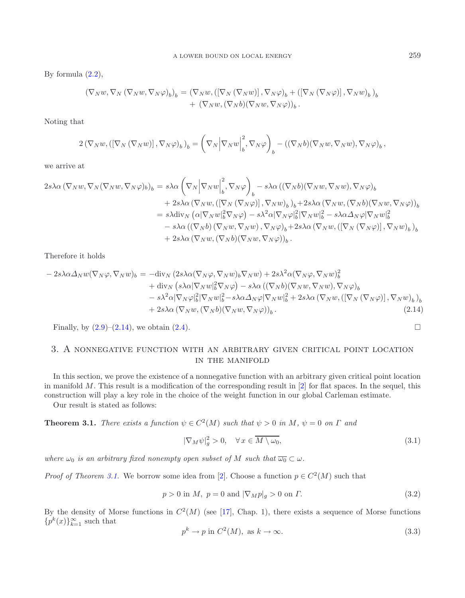By formula  $(2.2)$ ,

$$
(\nabla_N w, \nabla_N (\nabla_N w, \nabla_N \varphi)_b)_b = (\nabla_N w, ([\nabla_N (\nabla_N w)], \nabla_N \varphi)_b + ([\nabla_N (\nabla_N \varphi)], \nabla_N w)_b)_b + (\nabla_N w, (\nabla_N b)(\nabla_N w, \nabla_N \varphi))_b.
$$

Noting that

$$
2(\nabla_N w, (\left[\nabla_N (\nabla_N w)\right], \nabla_N \varphi)_b)_b = \left(\nabla_N \left|\nabla_N w\right|_b^2, \nabla_N \varphi\right)_b - \left((\nabla_N b)(\nabla_N w, \nabla_N w), \nabla_N \varphi)_b\right),
$$

we arrive at

$$
2s\lambda\alpha\left(\nabla_N w, \nabla_N (\nabla_N w, \nabla_N \varphi)_b\right)_b = s\lambda\alpha \left(\nabla_N \big| \nabla_N w \big|_b^2, \nabla_N \varphi \right)_b - s\lambda\alpha \left((\nabla_N b)(\nabla_N w, \nabla_N w), \nabla_N \varphi)_b
$$
  
+ 
$$
2s\lambda\alpha \left(\nabla_N w, \left([\nabla_N (\nabla_N \varphi)], \nabla_N w\right)_b\right)_b + 2s\lambda\alpha \left(\nabla_N w, (\nabla_N b)(\nabla_N w, \nabla_N \varphi)\right)_b
$$
  
= 
$$
s\lambda \text{div}_N \left(\alpha |\nabla_N w|_b^2 \nabla_N \varphi\right) - s\lambda^2 \alpha |\nabla_N \varphi|_b^2 |\nabla_N w|_b^2 - s\lambda\alpha \Delta_N \varphi |\nabla_N w|_b^2
$$
  
- 
$$
s\lambda\alpha \left((\nabla_N b)(\nabla_N w, \nabla_N w), \nabla_N \varphi)_b + 2s\lambda\alpha \left(\nabla_N w, \left([\nabla_N (\nabla_N \varphi)], \nabla_N w\right)_b\right)_b
$$
  
+ 
$$
2s\lambda\alpha \left(\nabla_N w, (\nabla_N b)(\nabla_N w, \nabla_N \varphi)\right)_b.
$$

Therefore it holds

$$
-2s\lambda\alpha\Delta_{N}w(\nabla_{N}\varphi,\nabla_{N}w)_{b} = -\text{div}_{N}(2s\lambda\alpha(\nabla_{N}\varphi,\nabla_{N}w)_{b}\nabla_{N}w) + 2s\lambda^{2}\alpha(\nabla_{N}\varphi,\nabla_{N}w)_{b}^{2} + \text{div}_{N}(s\lambda\alpha|\nabla_{N}w|_{b}^{2}\nabla_{N}\varphi) - s\lambda\alpha((\nabla_{N}b)(\nabla_{N}w,\nabla_{N}w),\nabla_{N}\varphi)_{b} - s\lambda^{2}\alpha|\nabla_{N}\varphi|_{b}^{2}|\nabla_{N}w|_{b}^{2} - s\lambda\alpha\Delta_{N}\varphi|\nabla_{N}w|_{b}^{2} + 2s\lambda\alpha(\nabla_{N}w,([\nabla_{N}(\nabla_{N}\varphi)],\nabla_{N}w)_{b})_{b} + 2s\lambda\alpha(\nabla_{N}w,(\nabla_{N}b)(\nabla_{N}w,\nabla_{N}\varphi))_{b}.
$$
\n(2.14)

Finally, by  $(2.9)$ – $(2.14)$ , we obtain  $(2.4)$ .

### 3. A nonnegative function with an arbitrary given critical point location in the manifold

In this section, we prove the existence of a nonnegative function with an arbitrary given critical point location in manifold  $M$ . This result is a modification of the corresponding result in  $[2]$  for flat spaces. In the sequel, this construction will play a key role in the choice of the weight function in our global Carleman estimate.

<span id="page-4-1"></span>Our result is stated as follows:

<span id="page-4-0"></span>**Theorem 3.1.** *There exists a function*  $\psi \in C^2(M)$  *such that*  $\psi > 0$  *in* M,  $\psi = 0$  *on*  $\Gamma$  *and* 

$$
|\nabla_M \psi|_g^2 > 0, \quad \forall \, x \in \overline{M \setminus \omega_0},\tag{3.1}
$$

*where*  $\omega_0$  *is an arbitrary fixed nonempty open subset of* M *such that*  $\overline{\omega_0} \subset \omega$ *.* 

*Proof of Theorem [3.1.](#page-4-0)* We borrow some idea from [\[2](#page-17-7)]. Choose a function  $p \in C^2(M)$  such that

$$
p > 0 \text{ in } M, \ p = 0 \text{ and } |\nabla_M p|_g > 0 \text{ on } \Gamma. \tag{3.2}
$$

By the density of Morse functions in  $C^2(M)$  (see [\[17](#page-18-8)], Chap. 1), there exists a sequence of Morse functions  ${p^k(x)}_{k=1}^{\infty}$  such that

$$
p^k \to p \text{ in } C^2(M), \text{ as } k \to \infty. \tag{3.3}
$$

<span id="page-4-2"></span> $\Box$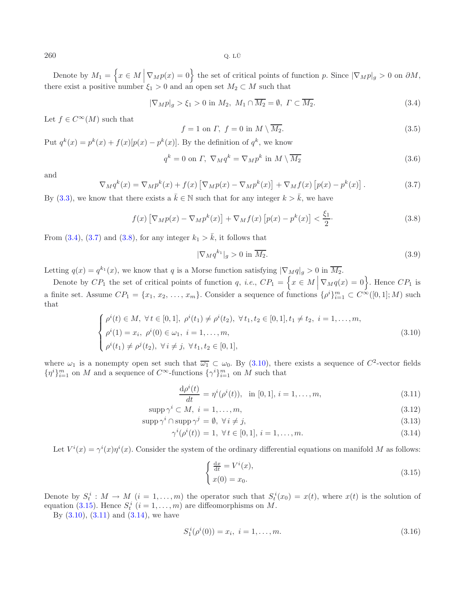$260$  Q. LÜ

Denote by  $M_1 = \{x \in M \mid \nabla_M p(x) = 0\}$  the set of critical points of function p. Since  $|\nabla_M p|_g > 0$  on  $\partial M$ , there exist a positive number  $\xi_1 > 0$  and an open set  $M_2 \subset M$  such that

<span id="page-5-0"></span>
$$
|\nabla_M p|_g > \xi_1 > 0 \text{ in } M_2, M_1 \cap \overline{M_2} = \emptyset, \Gamma \subset \overline{M_2}. \tag{3.4}
$$

Let  $f \in C^{\infty}(M)$  such that

<span id="page-5-2"></span>
$$
f = 1 \text{ on } \Gamma, \ f = 0 \text{ in } M \setminus \overline{M_2}. \tag{3.5}
$$

Put  $q^k(x) = p^k(x) + f(x)[p(x) - p^k(x)]$ . By the definition of  $q^k$ , we know

$$
q^{k} = 0 \text{ on } \Gamma, \ \nabla_{M} q^{k} = \nabla_{M} p^{k} \text{ in } M \setminus \overline{M_{2}}
$$
\n
$$
(3.6)
$$

and

$$
\nabla_M q^k(x) = \nabla_M p^k(x) + f(x) \left[ \nabla_M p(x) - \nabla_M p^k(x) \right] + \nabla_M f(x) \left[ p(x) - p^k(x) \right]. \tag{3.7}
$$

By [\(3.3\)](#page-4-1), we know that there exists a  $\bar{k} \in \mathbb{N}$  such that for any integer  $k > \bar{k}$ , we have

$$
f(x)\left[\nabla_M p(x) - \nabla_M p^k(x)\right] + \nabla_M f(x)\left[p(x) - p^k(x)\right] < \frac{\xi_1}{2}.\tag{3.8}
$$

From [\(3.4\)](#page-5-0), [\(3.7\)](#page-5-1) and [\(3.8\)](#page-5-2), for any integer  $k_1 > \bar{k}$ , it follows that

$$
|\nabla_M q^{k_1}|_g > 0 \text{ in } \overline{M_2}.
$$
\n(3.9)

Letting  $q(x) = q^{k_1}(x)$ , we know that q is a Morse function satisfying  $|\nabla_M q|_g > 0$  in  $\overline{M_2}$ .

Denote by  $CP_1$  the set of critical points of function q, *i.e.*,  $CP_1 = \left\{ x \in M \mid \nabla_M q(x) = 0 \right\}$ . Hence  $CP_1$  is a finite set. Assume  $CP_1 = \{x_1, x_2, \ldots, x_m\}$ . Consider a sequence of functions  $\{\rho^i\}_{i=1}^m \subset C^{\infty}([0,1];M)$  such that that

$$
\begin{cases}\n\rho^{i}(t) \in M, \ \forall t \in [0,1], \ \rho^{i}(t_{1}) \neq \rho^{i}(t_{2}), \ \forall t_{1}, t_{2} \in [0,1], t_{1} \neq t_{2}, \ i = 1, \ldots, m, \\
\rho^{i}(1) = x_{i}, \ \rho^{i}(0) \in \omega_{1}, \ i = 1, \ldots, m, \\
\rho^{i}(t_{1}) \neq \rho^{j}(t_{2}), \ \forall i \neq j, \ \forall t_{1}, t_{2} \in [0,1],\n\end{cases}
$$
\n(3.10)

<span id="page-5-3"></span>where  $\omega_1$  is a nonempty open set such that  $\overline{\omega_1} \subset \omega_0$ . By [\(3.10\)](#page-5-3), there exists a sequence of  $C^2$ -vector fields  $\{\eta^i\}_{i=1}^m$  on M and a sequence of  $C^{\infty}$ -functions  $\{\gamma^i\}_{i=1}^m$  on M such that

$$
\frac{d\rho^{i}(t)}{dt} = \eta^{i}(\rho^{i}(t)), \text{ in } [0,1], i = 1,\dots,m,
$$
\n(3.11)

<span id="page-5-5"></span>
$$
supp \gamma^i \subset M, \ i = 1, \dots, m,
$$
\n
$$
(3.12)
$$

$$
\operatorname{supp}\gamma^i \cap \operatorname{supp}\gamma^j = \emptyset, \ \forall \, i \neq j,\tag{3.13}
$$

<span id="page-5-4"></span>
$$
\gamma^{i}(\rho^{i}(t)) = 1, \ \forall \, t \in [0, 1], \ i = 1, \dots, m. \tag{3.14}
$$

Let  $V^i(x) = \gamma^i(x)\eta^i(x)$ . Consider the system of the ordinary differential equations on manifold M as follows:

$$
\begin{cases} \frac{dx}{dt} = V^i(x), \\ x(0) = x_0. \end{cases}
$$
 (3.15)

Denote by  $S_t^i : M \to M$   $(i = 1, ..., m)$  the operator such that  $S_t^i(x_0) = x(t)$ , where  $x(t)$  is the solution of constitution of  $S_t^i$  is the solution of equation [\(3.15\)](#page-5-4). Hence  $S_t^i$   $(i = 1, \ldots, m)$  are diffeomorphisms on M.<br>By (3.10) (3.11) and (3.14) we have

By  $(3.10)$ ,  $(3.11)$  and  $(3.14)$ , we have

$$
S_1^i(\rho^i(0)) = x_i, \ i = 1, \dots, m. \tag{3.16}
$$

<span id="page-5-1"></span>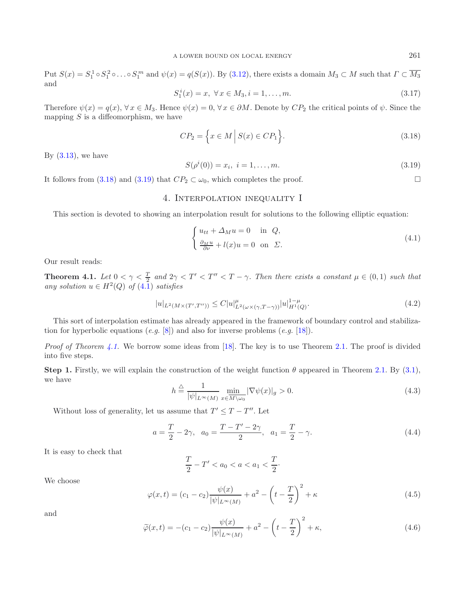<span id="page-6-2"></span>Put  $S(x) = S_1^1 \circ S_1^2 \circ \ldots \circ S_1^m$  and  $\psi(x) = q(S(x))$ . By [\(3.12\)](#page-5-5), there exists a domain  $M_3 \subset M$  such that  $\Gamma \subset \overline{M_3}$ and

<span id="page-6-1"></span>
$$
S_1^i(x) = x, \ \forall \, x \in M_3, i = 1, \dots, m. \tag{3.17}
$$

Therefore  $\psi(x) = q(x), \forall x \in M_3$ . Hence  $\psi(x) = 0, \forall x \in \partial M$ . Denote by  $CP_2$  the critical points of  $\psi$ . Since the mapping  $S$  is a diffeomorphism, we have

$$
CP_2 = \left\{ x \in M \, \middle| \, S(x) \in CP_1 \right\}.
$$
\n
$$
(3.18)
$$

<span id="page-6-0"></span>By  $(3.13)$ , we have

$$
S(\rho^{i}(0)) = x_{i}, \ i = 1, \dots, m. \tag{3.19}
$$

It follows from [\(3.18\)](#page-6-1) and [\(3.19\)](#page-6-2) that  $CP_2 \subset \omega_0$ , which completes the proof.

### <span id="page-6-7"></span><span id="page-6-3"></span>4. Interpolation inequality I

This section is devoted to showing an interpolation result for solutions to the following elliptic equation:

$$
\begin{cases} u_{tt} + \Delta_M u = 0 & \text{in } Q, \\ \frac{\partial_M u}{\partial \nu} + l(x)u = 0 & \text{on } \Sigma. \end{cases}
$$
 (4.1)

<span id="page-6-5"></span>Our result reads:

**Theorem 4.1.** Let  $0 < \gamma < \frac{T}{2}$  and  $2\gamma < T' < T'' < T - \gamma$ . Then there exists a constant  $\mu \in (0,1)$  such that *any solution*  $u \in H^2(Q)$  *of*  $(4.\overline{1})$  *satisfies* 

$$
|u|_{L^{2}(M \times (T',T''))} \leq C|u|_{L^{2}(\omega \times (\gamma,T-\gamma))}^{\mu} |u|_{H^{1}(Q)}^{1-\mu}.
$$
\n(4.2)

This sort of interpolation estimate has already appeared in the framework of boundary control and stabilization for hyperbolic equations (*e.g.* [\[8](#page-17-12)]) and also for inverse problems (*e.g.* [\[18\]](#page-18-6)).

*Proof of Theorem [4.1.](#page-6-0)* We borrow some ideas from [\[18\]](#page-18-6). The key is to use Theorem [2.1.](#page-2-1) The proof is divided into five steps.

<span id="page-6-6"></span><span id="page-6-4"></span>**Step 1.** Firstly, we will explain the construction of the weight function  $\theta$  appeared in Theorem [2.1.](#page-2-1) By [\(3.1\)](#page-4-2), we have

$$
h \stackrel{\triangle}{=} \frac{1}{|\psi|_{L^{\infty}(M)}} \min_{x \in \overline{M \setminus \omega_0}} |\nabla \psi(x)|_g > 0.
$$
\n(4.3)

Without loss of generality, let us assume that  $T' \leq T - T''$ . Let

$$
a = \frac{T}{2} - 2\gamma, \quad a_0 = \frac{T - T' - 2\gamma}{2}, \quad a_1 = \frac{T}{2} - \gamma.
$$
 (4.4)

It is easy to check that

$$
\frac{T}{2} - T' < a_0 < a < a_1 < \frac{T}{2}.
$$

We choose

$$
\varphi(x,t) = (c_1 - c_2) \frac{\psi(x)}{|\psi|_{L^{\infty}(M)}} + a^2 - \left(t - \frac{T}{2}\right)^2 + \kappa
$$
\n(4.5)

and

$$
\widetilde{\varphi}(x,t) = -(c_1 - c_2) \frac{\psi(x)}{|\psi|_{L^{\infty}(M)}} + a^2 - \left(t - \frac{T}{2}\right)^2 + \kappa,
$$
\n(4.6)

 $\Box$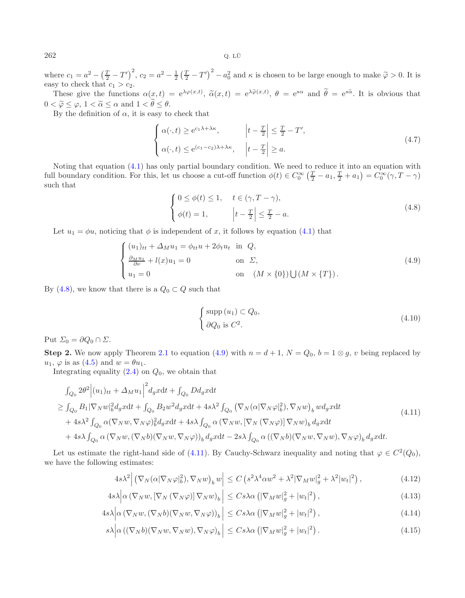where  $c_1 = a^2 - \left(\frac{T}{2} - T'\right)^2$ ,  $c_2 = a^2 - \frac{1}{2}\left(\frac{T}{2} - T'\right)^2 - a_0^2$  and  $\kappa$  is chosen to be large enough to make  $\tilde{\varphi} > 0$ . It is easy to check that  $c_1 > c_2$ .

These give the functions  $\alpha(x,t) = e^{\lambda \varphi(x,t)}$ ,  $\tilde{\alpha}(x,t) = e^{\lambda \tilde{\varphi}(x,t)}$ ,  $\theta = e^{s\alpha}$  and  $\tilde{\theta} = e^{s\tilde{\alpha}}$ . It is obvious that  $0 < \widetilde{\varphi} \leq \varphi, 1 < \widetilde{\alpha} \leq \alpha \text{ and } 1 < \theta \leq \theta.$ <br>By the definition of  $\alpha$  it is easy to

<span id="page-7-3"></span>By the definition of  $\alpha$ , it is easy to check that

$$
\begin{cases} \alpha(\cdot,t) \ge e^{c_1\lambda + \lambda\kappa}, & \left| t - \frac{T}{2} \right| \le \frac{T}{2} - T', \\ \alpha(\cdot,t) \le e^{(c_1 - c_2)\lambda + \lambda\kappa}, & \left| t - \frac{T}{2} \right| \ge a. \end{cases} \tag{4.7}
$$

Noting that equation [\(4.1\)](#page-6-3) has only partial boundary condition. We need to reduce it into an equation with full boundary condition. For this, let us choose a cut-off function  $\phi(t) \in C_0^{\infty}(\frac{T}{2} - a_1, \frac{T}{2} + a_1) = C_0^{\infty}(\gamma, T - \gamma)$ such that

$$
\begin{cases}\n0 \leq \phi(t) \leq 1, & t \in (\gamma, T - \gamma), \\
\phi(t) = 1, & \left|t - \frac{T}{2}\right| \leq \frac{T}{2} - a.\n\end{cases}
$$
\n(4.8)

<span id="page-7-1"></span>Let  $u_1 = \phi u$ , noticing that  $\phi$  is independent of x, it follows by equation [\(4.1\)](#page-6-3) that

<span id="page-7-2"></span><span id="page-7-0"></span>
$$
\begin{cases}\n(u_1)_{tt} + \Delta_M u_1 = \phi_{tt} u + 2\phi_t u_t & \text{in } Q, \\
\frac{\partial_M u_1}{\partial \nu} + l(x)u_1 = 0 & \text{on } \Sigma, \\
u_1 = 0 & \text{on } (M \times \{0\}) \cup (M \times \{T\}).\n\end{cases}
$$
\n(4.9)

By [\(4.8\)](#page-7-0), we know that there is a  $Q_0 \subset Q$  such that

$$
\begin{cases} \sup p(u_1) \subset Q_0, \\ \partial Q_0 \text{ is } C^2. \end{cases} \tag{4.10}
$$

Put  $\Sigma_0 = \partial Q_0 \cap \Sigma$ .

**Step 2.** We now apply Theorem [2.1](#page-2-1) to equation [\(4.9\)](#page-7-1) with  $n = d + 1$ ,  $N = Q_0$ ,  $b = 1 \otimes g$ , v being replaced by  $u_1, \varphi$  is as  $(4.5)$  and  $w = \theta u_1$ .

Integrating equality  $(2.4)$  on  $Q_0$ , we obtain that

$$
\int_{Q_0} 2\theta^2 \Big| (u_1)_{tt} + \Delta_M u_1 \Big|^2 d_g x dt + \int_{Q_0} D d_g x dt
$$
\n
$$
\geq \int_{Q_0} B_1 |\nabla_N w|_b^2 d_g x dt + \int_{Q_0} B_2 w^2 d_g x dt + 4s\lambda^2 \int_{Q_0} (\nabla_N (\alpha |\nabla_N \varphi|_b^2), \nabla_N w)_b w d_g x dt
$$
\n
$$
+ 4s\lambda^2 \int_{Q_0} \alpha (\nabla_N w, \nabla_N \varphi)_{b}^2 d_g x dt + 4s\lambda \int_{Q_0} \alpha (\nabla_N w, [\nabla_N (\nabla_N \varphi)] \nabla_N w)_b d_g x dt
$$
\n
$$
+ 4s\lambda \int_{Q_0} \alpha (\nabla_N w, (\nabla_N b)(\nabla_N w, \nabla_N \varphi))_b d_g x dt - 2s\lambda \int_{Q_0} \alpha ((\nabla_N b)(\nabla_N w, \nabla_N w), \nabla_N \varphi)_{b} d_g x dt.
$$
\n(4.11)

<span id="page-7-4"></span>Let us estimate the right-hand side of [\(4.11\)](#page-7-2). By Cauchy-Schwarz inequality and noting that  $\varphi \in C^2(Q_0)$ , we have the following estimates:

$$
4s\lambda^2 \left| \left( \nabla_N(\alpha |\nabla_N \varphi|_b^2), \nabla_N w \right)_b w \right| \le C \left( s^2 \lambda^4 \alpha w^2 + \lambda^2 |\nabla_M w|_g^2 + \lambda^2 |w_t|^2 \right), \tag{4.12}
$$

$$
4s\lambda \left| \alpha \left( \nabla_N w, \left[ \nabla_N \left( \nabla_N \varphi \right) \right] \nabla_N w \right)_b \right| \leq Cs\lambda \alpha \left( \left| \nabla_M w \right|_g^2 + \left| w_t \right|^2 \right),\tag{4.13}
$$

$$
4s\lambda \left| \alpha \left( \nabla_N w, (\nabla_N b)(\nabla_N w, \nabla_N \varphi) \right)_b \right| \leq C s \lambda \alpha \left( |\nabla_M w|_g^2 + |w_t|^2 \right), \tag{4.14}
$$

$$
s\lambda \left| \alpha \left( (\nabla_N b)(\nabla_N w, \nabla_N w), \nabla_N \varphi \right)_b \right| \leq C s \lambda \alpha \left( |\nabla_M w|_g^2 + |w_t|^2 \right). \tag{4.15}
$$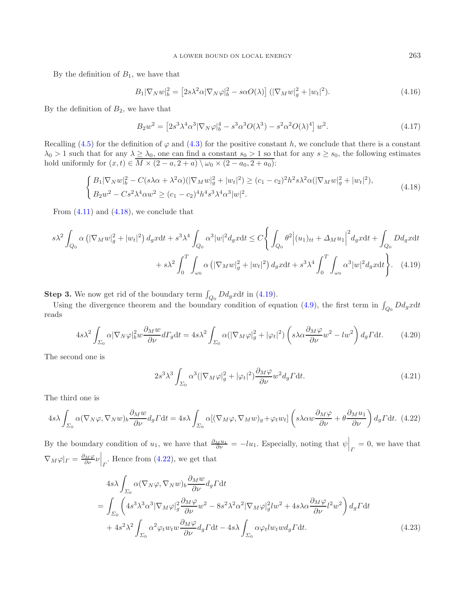By the definition of  $B_1$ , we have that

$$
B_1|\nabla_N w|^2_b = \left[2s\lambda^2\alpha|\nabla_N \varphi|^2_b - s\alpha O(\lambda)\right] \left(|\nabla_M w|^2_g + |w_t|^2\right). \tag{4.16}
$$

By the definition of  $B_2$ , we have that

$$
B_2 w^2 = \left[2s^3 \lambda^4 \alpha^3 |\nabla_N \varphi|_b^4 - s^3 \alpha^3 O(\lambda^3) - s^2 \alpha^2 O(\lambda)^4\right] w^2.
$$
 (4.17)

Recalling [\(4.5\)](#page-6-4) for the definition of  $\varphi$  and [\(4.3\)](#page-6-5) for the positive constant h, we conclude that there is a constant  $\lambda_0 > 1$  such that for any  $\lambda \geq \lambda_0$ , one can find a constant  $s_0 > 1$  so that for any  $s \geq s_0$ , the following estimates hold uniformly for  $(x, t) \in \overline{M \times (2-a, 2+a) \setminus \omega_0 \times (2-a_0, 2+a_0)}$ :

$$
\begin{cases} B_1 |\nabla_N w|_b^2 - C(s\lambda \alpha + \lambda^2 \alpha)(|\nabla_M w|_g^2 + |w_t|^2) \ge (c_1 - c_2)^2 h^2 s \lambda^2 \alpha (|\nabla_M w|_g^2 + |w_t|^2), \\ B_2 w^2 - C s^2 \lambda^4 \alpha w^2 \ge (c_1 - c_2)^4 h^4 s^3 \lambda^4 \alpha^3 |w|^2. \end{cases}
$$
(4.18)

<span id="page-8-0"></span>From  $(4.11)$  and  $(4.18)$ , we conclude that

$$
s\lambda^{2} \int_{Q_{0}} \alpha \left( |\nabla_{M} w|_{g}^{2} + |w_{t}|^{2} \right) d_{g} x dt + s^{3} \lambda^{4} \int_{Q_{0}} \alpha^{3} |w|^{2} d_{g} x dt \leq C \Bigg\{ \int_{Q_{0}} \theta^{2} \Big| (u_{1})_{tt} + \Delta_{M} u_{1} \Big|^{2} d_{g} x dt + \int_{Q_{0}} D d_{g} x dt + s\lambda^{2} \int_{0}^{T} \int_{\omega_{0}} \alpha \left( |\nabla_{M} w|_{g}^{2} + |w_{t}|^{2} \right) d_{g} x dt + s^{3} \lambda^{4} \int_{0}^{T} \int_{\omega_{0}} \alpha^{3} |w|^{2} d_{g} x dt \Bigg\}.
$$
 (4.19)

<span id="page-8-2"></span>**Step 3.** We now get rid of the boundary term  $\int_{Q_0} D d_g x dt$  in [\(4.19\)](#page-8-1).

Using the divergence theorem and the boundary condition of equation [\(4.9\)](#page-7-1), the first term in  $\int_{Q_0} D d_g x dt$ reads

$$
4s\lambda^2 \int_{\Sigma_0} \alpha |\nabla_N \varphi|_b^2 w \frac{\partial_M w}{\partial \nu} d\Gamma_g dt = 4s\lambda^2 \int_{\Sigma_0} \alpha (|\nabla_M \varphi|_g^2 + |\varphi_t|^2) \left( s\lambda \alpha \frac{\partial_M \varphi}{\partial \nu} w^2 - l w^2 \right) d_g \Gamma dt. \tag{4.20}
$$

The second one is

$$
2s^3\lambda^3 \int_{\Sigma_0} \alpha^3 (|\nabla_M \varphi|_g^2 + |\varphi_t|^2) \frac{\partial_M \varphi}{\partial \nu} w^2 d_g \Gamma dt.
$$
 (4.21)

The third one is

$$
4s\lambda \int_{\Sigma_0} \alpha(\nabla_N \varphi, \nabla_N w)_b \frac{\partial_M w}{\partial \nu} d_g \Gamma dt = 4s\lambda \int_{\Sigma_0} \alpha[(\nabla_M \varphi, \nabla_M w)_g + \varphi_t w_t] \left(s\lambda \alpha w \frac{\partial_M \varphi}{\partial \nu} + \theta \frac{\partial_M u_1}{\partial \nu}\right) d_g \Gamma dt. (4.22)
$$

By the boundary condition of  $u_1$ , we have that  $\frac{\partial_M u_1}{\partial \nu} = -\ell u_1$ . Especially, noting that  $\psi\Big|_P = 0$ , we have that  $\nabla_M \varphi|_{\Gamma} = \frac{\partial_M \varphi}{\partial \nu} \nu \Big|_{\Gamma}$ . Hence from [\(4.22\)](#page-8-2), we get that

$$
4s\lambda \int_{\Sigma_{0}} \alpha(\nabla_{N}\varphi, \nabla_{N}w)_{b} \frac{\partial_{M}w}{\partial \nu} d_{g} \Gamma dt
$$
\n
$$
= \int_{\Sigma_{0}} \left( 4s^{3}\lambda^{3}\alpha^{3}|\nabla_{M}\varphi|_{g}^{2} \frac{\partial_{M}\varphi}{\partial \nu}w^{2} - 8s^{2}\lambda^{2}\alpha^{2}|\nabla_{M}\varphi|_{g}^{2}lw^{2} + 4s\lambda\alpha \frac{\partial_{M}\varphi}{\partial \nu}l^{2}w^{2} \right) d_{g} \Gamma dt
$$
\n
$$
+ 4s^{2}\lambda^{2} \int_{\Sigma_{0}} \alpha^{2}\varphi_{t}w_{t}w \frac{\partial_{M}\varphi}{\partial \nu} d_{g} \Gamma dt - 4s\lambda \int_{\Sigma_{0}} \alpha\varphi_{t}lw_{t}wd_{g} \Gamma dt.
$$
\n(4.23)

<span id="page-8-1"></span>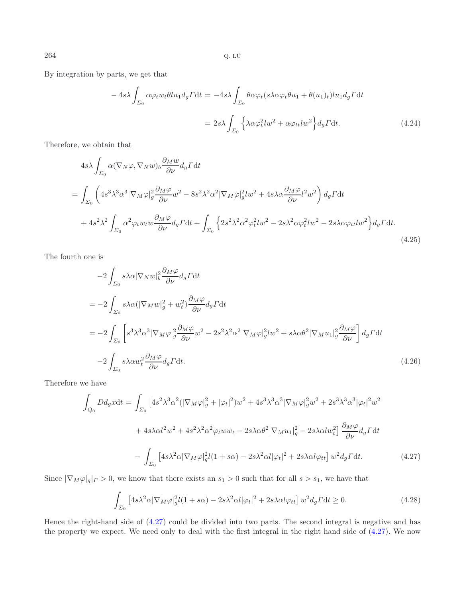By integration by parts, we get that

$$
-4s\lambda \int_{\Sigma_0} \alpha \varphi_t w_t \theta l u_1 d_g \Gamma dt = -4s\lambda \int_{\Sigma_0} \theta \alpha \varphi_t (s\lambda \alpha \varphi_t \theta u_1 + \theta (u_1)_t) l u_1 d_g \Gamma dt
$$

$$
= 2s\lambda \int_{\Sigma_0} \left\{ \lambda \alpha \varphi_t^2 l w^2 + \alpha \varphi_{tt} l w^2 \right\} d_g \Gamma dt. \tag{4.24}
$$

Therefore, we obtain that

$$
4s\lambda \int_{\Sigma_{0}} \alpha(\nabla_{N}\varphi, \nabla_{N}w)_{b} \frac{\partial_{M}w}{\partial \nu} d_{g} \Gamma dt
$$
\n
$$
= \int_{\Sigma_{0}} \left( 4s^{3}\lambda^{3}\alpha^{3} |\nabla_{M}\varphi|_{g}^{2} \frac{\partial_{M}\varphi}{\partial \nu} w^{2} - 8s^{2}\lambda^{2}\alpha^{2} |\nabla_{M}\varphi|_{g}^{2} dw^{2} + 4s\lambda\alpha \frac{\partial_{M}\varphi}{\partial \nu} l^{2}w^{2} \right) d_{g} \Gamma dt
$$
\n
$$
+ 4s^{2}\lambda^{2} \int_{\Sigma_{0}} \alpha^{2}\varphi_{t}w_{t}w \frac{\partial_{M}\varphi}{\partial \nu} d_{g} \Gamma dt + \int_{\Sigma_{0}} \left\{ 2s^{2}\lambda^{2}\alpha^{2}\varphi_{t}^{2}lw^{2} - 2s\lambda^{2}\alpha\varphi_{t}^{2}lw^{2} - 2s\lambda\alpha\varphi_{tt}lw^{2} \right\} d_{g} \Gamma dt.
$$
\n(4.25)

The fourth one is

$$
-2\int_{\Sigma_{0}} s\lambda \alpha |\nabla_{N} w|_{b}^{2} \frac{\partial_{M} \varphi}{\partial \nu} d_{g} \Gamma dt
$$
  
\n
$$
= -2\int_{\Sigma_{0}} s\lambda \alpha (|\nabla_{M} w|_{g}^{2} + w_{t}^{2}) \frac{\partial_{M} \varphi}{\partial \nu} d_{g} \Gamma dt
$$
  
\n
$$
= -2\int_{\Sigma_{0}} \left[ s^{3} \lambda^{3} \alpha^{3} |\nabla_{M} \varphi|_{g}^{2} \frac{\partial_{M} \varphi}{\partial \nu} w^{2} - 2s^{2} \lambda^{2} \alpha^{2} |\nabla_{M} \varphi|_{g}^{2} dw^{2} + s\lambda \alpha \theta^{2} |\nabla_{M} u_{1}|_{g}^{2} \frac{\partial_{M} \varphi}{\partial \nu} \right] d_{g} \Gamma dt
$$
  
\n
$$
-2\int_{\Sigma_{0}} s\lambda \alpha w_{t}^{2} \frac{\partial_{M} \varphi}{\partial \nu} d_{g} \Gamma dt.
$$
\n(4.26)

<span id="page-9-0"></span>Therefore we have

$$
\int_{Q_0} Dd_g x dt = \int_{\Sigma_0} \left[ 4s^2 \lambda^3 \alpha^2 (|\nabla_M \varphi|_g^2 + |\varphi_t|^2) w^2 + 4s^3 \lambda^3 \alpha^3 |\nabla_M \varphi|_g^2 w^2 + 2s^3 \lambda^3 \alpha^3 |\varphi_t|^2 w^2 \right. \\
\left. + 4s \lambda \alpha l^2 w^2 + 4s^2 \lambda^2 \alpha^2 \varphi_t w w_t - 2s \lambda \alpha \theta^2 |\nabla_M u_1|_g^2 - 2s \lambda \alpha l w_t^2 \right] \frac{\partial_M \varphi}{\partial \nu} d_g \Gamma dt \\
- \int_{\Sigma_0} \left[ 4s \lambda^2 \alpha |\nabla_M \varphi|_g^2 l(1 + s\alpha) - 2s \lambda^2 \alpha l |\varphi_t|^2 + 2s \lambda \alpha l \varphi_{tt} \right] w^2 d_g \Gamma dt. \tag{4.27}
$$

Since  $|\nabla_M \varphi|_g|_F > 0$ , we know that there exists an  $s_1 > 0$  such that for all  $s > s_1$ , we have that

$$
\int_{\Sigma_0} \left[4s\lambda^2 \alpha |\nabla_M \varphi|_g^2 l(1+s\alpha) - 2s\lambda^2 \alpha l |\varphi_t|^2 + 2s\lambda \alpha l \varphi_{tt} \right] w^2 d_g \Gamma dt \ge 0.
$$
\n(4.28)

Hence the right-hand side of [\(4.27\)](#page-9-0) could be divided into two parts. The second integral is negative and has the property we expect. We need only to deal with the first integral in the right hand side of [\(4.27\)](#page-9-0). We now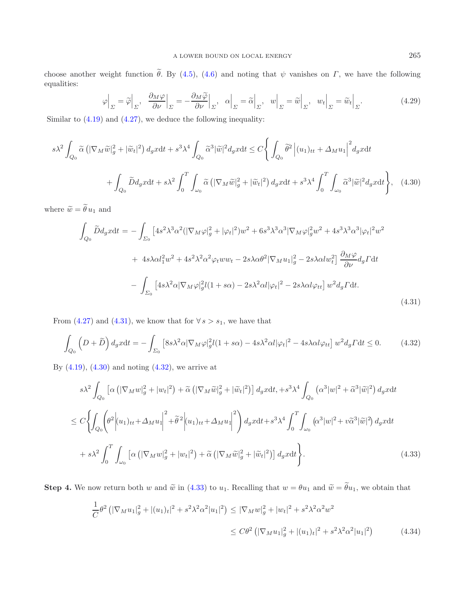choose another weight function  $\theta$ . By [\(4.5\)](#page-6-4), [\(4.6\)](#page-6-6) and noting that  $\psi$  vanishes on  $\Gamma$ , we have the following equalities:

<span id="page-10-1"></span>
$$
\varphi\Big|_{\Sigma} = \widetilde{\varphi}\Big|_{\Sigma}, \quad \frac{\partial_M \varphi}{\partial \nu}\Big|_{\Sigma} = -\frac{\partial_M \widetilde{\varphi}}{\partial \nu}\Big|_{\Sigma}, \quad \alpha\Big|_{\Sigma} = \widetilde{\alpha}\Big|_{\Sigma}, \quad w\Big|_{\Sigma} = \widetilde{w}\Big|_{\Sigma}, \quad w_t\Big|_{\Sigma} = \widetilde{w}_t\Big|_{\Sigma}.
$$

Similar to [\(4.19\)](#page-8-1) and [\(4.27\)](#page-9-0), we deduce the following inequality:

$$
s\lambda^{2} \int_{Q_{0}} \widetilde{\alpha} \left( |\nabla_{M}\widetilde{w}|_{g}^{2} + |\widetilde{w}_{t}|^{2} \right) d_{g}xdt + s^{3}\lambda^{4} \int_{Q_{0}} \widetilde{\alpha}^{3} |\widetilde{w}|^{2} d_{g}xdt \leq C \Biggl\{ \int_{Q_{0}} \widetilde{\theta}^{2} \Biggl| (u_{1})_{tt} + \Delta_{M} u_{1} \Biggr|^{2} d_{g}xdt + \int_{Q_{0}} \widetilde{D}d_{g}xdt + s\lambda^{2} \int_{0}^{T} \int_{\omega_{0}} \widetilde{\alpha} \left( |\nabla_{M}\widetilde{w}|_{g}^{2} + |\widetilde{w}_{t}|^{2} \right) d_{g}xdt + s^{3}\lambda^{4} \int_{0}^{T} \int_{\omega_{0}} \widetilde{\alpha}^{3} |\widetilde{w}|^{2} d_{g}xdt \Biggr\}, \quad (4.30)
$$

<span id="page-10-0"></span>where  $\widetilde{w} = \widetilde{\theta} u_1$  and

<span id="page-10-2"></span>
$$
\int_{Q_0} \widetilde{D}d_g x dt = -\int_{\Sigma_0} \left[ 4s^2 \lambda^3 \alpha^2 (|\nabla_M \varphi|_g^2 + |\varphi_t|^2) w^2 + 6s^3 \lambda^3 \alpha^3 |\nabla_M \varphi|_g^2 w^2 + 4s^3 \lambda^3 \alpha^3 |\varphi_t|^2 w^2 \right. \\
\left. + 4s \lambda \alpha l_1^2 w^2 + 4s^2 \lambda^2 \alpha^2 \varphi_t w w_t - 2s \lambda \alpha \theta^2 |\nabla_M u_1|_g^2 - 2s \lambda \alpha l w_t^2 \right] \frac{\partial_M \varphi}{\partial \nu} d_g \Gamma dt \\
- \int_{\Sigma_0} \left[ 4s \lambda^2 \alpha |\nabla_M \varphi|_g^2 l(1 + s\alpha) - 2s \lambda^2 \alpha l |\varphi_t|^2 - 2s \lambda \alpha l \varphi_{tt} \right] w^2 d_g \Gamma dt.
$$
\n(4.31)

From [\(4.27\)](#page-9-0) and [\(4.31\)](#page-10-0), we know that for  $\forall s > s_1$ , we have that

$$
\int_{Q_0} \left( D + \tilde{D} \right) d_g x dt = - \int_{\Sigma_0} \left[ 8s \lambda^2 \alpha |\nabla_M \varphi|_g^2 l(1 + s \alpha) - 4s \lambda^2 \alpha l |\varphi_t|^2 - 4s \lambda \alpha l \varphi_{tt} \right] w^2 d_g \Gamma dt \le 0. \tag{4.32}
$$

<span id="page-10-3"></span>By  $(4.19)$ ,  $(4.30)$  and noting  $(4.32)$ , we arrive at

$$
s\lambda^{2} \int_{Q_{0}} \left[ \alpha \left( |\nabla_{M} w|_{g}^{2} + |w_{t}|^{2} \right) + \tilde{\alpha} \left( |\nabla_{M} \tilde{w}|_{g}^{2} + |\tilde{w}_{t}|^{2} \right) \right] d_{g}x dt, + s^{3} \lambda^{4} \int_{Q_{0}} \left( \alpha^{3} |w|^{2} + \tilde{\alpha}^{3} |\tilde{w}|^{2} \right) d_{g}x dt
$$
  

$$
\leq C \left\{ \int_{Q_{0}} \left( \theta^{2} \left| (u_{1})_{tt} + \Delta_{M} u_{1} \right|^{2} + \tilde{\theta}^{2} \left| (u_{1})_{tt} + \Delta_{M} u_{1} \right|^{2} \right) d_{g}x dt + s^{3} \lambda^{4} \int_{0}^{T} \int_{\omega_{0}} \left( \alpha^{3} |w|^{2} + v \tilde{\alpha}^{3} |\tilde{w}|^{2} \right) d_{g}x dt \right.
$$
  

$$
+ s\lambda^{2} \int_{0}^{T} \int_{\omega_{0}} \left[ \alpha \left( |\nabla_{M} w|_{g}^{2} + |w_{t}|^{2} \right) + \tilde{\alpha} \left( |\nabla_{M} \tilde{w}|_{g}^{2} + |\tilde{w}_{t}|^{2} \right) \right] d_{g}x dt \right\}.
$$
 (4.33)

**Step 4.** We now return both w and  $\tilde{w}$  in [\(4.33\)](#page-10-3) to  $u_1$ . Recalling that  $w = \theta u_1$  and  $\tilde{w} = \tilde{\theta} u_1$ , we obtain that

$$
\frac{1}{C}\theta^2 \left( |\nabla_M u_1|_g^2 + |(u_1)_t|^2 + s^2 \lambda^2 \alpha^2 |u_1|^2 \right) \leq |\nabla_M w|_g^2 + |w_t|^2 + s^2 \lambda^2 \alpha^2 w^2
$$
\n
$$
\leq C\theta^2 \left( |\nabla_M u_1|_g^2 + |(u_1)_t|^2 + s^2 \lambda^2 \alpha^2 |u_1|^2 \right) \tag{4.34}
$$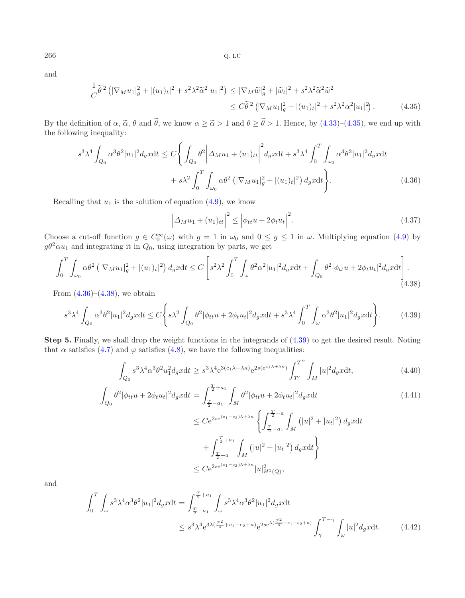<span id="page-11-0"></span>and

$$
\frac{1}{C}\tilde{\theta}^{2} \left( |\nabla_{M} u_{1}|_{g}^{2} + |(u_{1})_{t}|^{2} + s^{2} \lambda^{2} \tilde{\alpha}^{2} |u_{1}|^{2} \right) \leq |\nabla_{M} \tilde{w}|_{g}^{2} + |\tilde{w}_{t}|^{2} + s^{2} \lambda^{2} \tilde{\alpha}^{2} \tilde{w}^{2} \leq C\tilde{\theta}^{2} \left( |\nabla_{M} u_{1}|_{g}^{2} + |(u_{1})_{t}|^{2} + s^{2} \lambda^{2} \alpha^{2} |u_{1}|^{2} \right). \tag{4.35}
$$

<span id="page-11-1"></span>By the definition of  $\alpha$ ,  $\tilde{\alpha}$ ,  $\theta$  and  $\theta$ , we know  $\alpha \geq \tilde{\alpha} > 1$  and  $\theta \geq \theta > 1$ . Hence, by [\(4.33\)](#page-10-3)–[\(4.35\)](#page-11-0), we end up with the following inequality: the following inequality:

<span id="page-11-3"></span>
$$
s^{3} \lambda^{4} \int_{Q_{0}} \alpha^{3} \theta^{2} |u_{1}|^{2} d_{g}x dt \leq C \Bigg\{ \int_{Q_{0}} \theta^{2} \Bigg| \Delta_{M} u_{1} + (u_{1})_{tt} \Bigg|^{2} d_{g}x dt + s^{3} \lambda^{4} \int_{0}^{T} \int_{\omega_{0}} \alpha^{3} \theta^{2} |u_{1}|^{2} d_{g}x dt + s \lambda^{2} \int_{0}^{T} \int_{\omega_{0}} \alpha \theta^{2} \left( |\nabla_{M} u_{1}|_{g}^{2} + |(u_{1})_{t}|^{2} \right) d_{g}x dt \Bigg\}.
$$
 (4.36)

Recalling that  $u_1$  is the solution of equation [\(4.9\)](#page-7-1), we know

<span id="page-11-2"></span>
$$
\left|\Delta_M u_1 + (u_1)_{tt}\right|^2 \le \left|\phi_{tt} u + 2\phi_t u_t\right|^2. \tag{4.37}
$$

Choose a cut-off function  $g \in C_0^{\infty}(\omega)$  with  $g = 1$  in  $\omega_0$  and  $0 \le g \le 1$  in  $\omega$ . Multiplying equation [\(4.9\)](#page-7-1) by  $g\theta^2 \alpha u_1$  and integrating it in  $Q_0$ , using integration by parts, we get

$$
\int_0^T \int_{\omega_0} \alpha \theta^2 \left( |\nabla_M u_1|_g^2 + |(u_1)_t|^2 \right) d_g x \mathrm{d}t \le C \left[ s^2 \lambda^2 \int_0^T \int_{\omega} \theta^2 \alpha^2 |u_1|^2 d_g x \mathrm{d}t + \int_{Q_0} \theta^2 |\phi_{tt} u_1|^2 d_g x \mathrm{d}t \right]. \tag{4.38}
$$

From  $(4.36)$ – $(4.38)$ , we obtain

$$
s^3 \lambda^4 \int_{Q_0} \alpha^3 \theta^2 |u_1|^2 d_g x dt \le C \Bigg\{ s \lambda^2 \int_{Q_0} \theta^2 |\phi_{tt} u + 2\phi_t u_t|^2 d_g x dt + s^3 \lambda^4 \int_0^T \int_{\omega} \alpha^3 \theta^2 |u_1|^2 d_g x dt \Bigg\}.
$$
 (4.39)

**Step 5.** Finally, we shall drop the weight functions in the integrands of [\(4.39\)](#page-11-3) to get the desired result. Noting that  $\alpha$  satisfies [\(4.7\)](#page-7-3) and  $\varphi$  satisfies [\(4.8\)](#page-7-0), we have the following inequalities:

$$
\int_{Q_0} s^3 \lambda^4 \alpha^3 \theta^2 u_1^2 d_g x \mathrm{d}t \geq s^3 \lambda^4 e^{3(c_1 \lambda + \lambda \kappa)} e^{2s(e^{c_1 \lambda + \lambda \kappa})} \int_{T'}^{T''} \int_M |u|^2 d_g x \mathrm{d}t,\tag{4.40}
$$

$$
\int_{Q_0} \theta^2 |\phi_{tt} u + 2\phi_t u_t|^2 d_g x dt = \int_{\frac{T}{2} - a_1}^{\frac{T}{2} + a_1} \int_M \theta^2 |\phi_{tt} u + 2\phi_t u_t|^2 d_g x dt \tag{4.41}
$$

$$
\leq Ce^{2se^{(c_1-c_2)\lambda+\lambda\kappa}} \left\{ \int_{\frac{T}{2}-a_1}^{\frac{T}{2}-a} \int_M (|u|^2 + |u_t|^2) \, d_gx \mathrm{d}t + \int_{\frac{T}{2}+a}^{\frac{T}{2}+a_1} \int_M (|u|^2 + |u_t|^2) \, d_gx \mathrm{d}t \right\}
$$
  

$$
\leq Ce^{2se^{(c_1-c_2)\lambda+\lambda\kappa}} |u|_{H^1(Q)}^2,
$$

<span id="page-11-4"></span>and

$$
\int_{0}^{T} \int_{\omega} s^{3} \lambda^{4} \alpha^{3} \theta^{2} |u_{1}|^{2} d_{g} x dt = \int_{\frac{T}{2} - a_{1}}^{\frac{T}{2} + a_{1}} \int_{\omega} s^{3} \lambda^{4} \alpha^{3} \theta^{2} |u_{1}|^{2} d_{g} x dt
$$
  

$$
\leq s^{3} \lambda^{4} e^{3 \lambda (\frac{T^{2}}{4} + c_{1} - c_{2} + \kappa)} e^{2 s e^{\lambda (\frac{T^{2}}{4} + c_{1} - c_{2} + \kappa)}} \int_{\gamma}^{T - \gamma} \int_{\omega} |u|^{2} d_{g} x dt.
$$
 (4.42)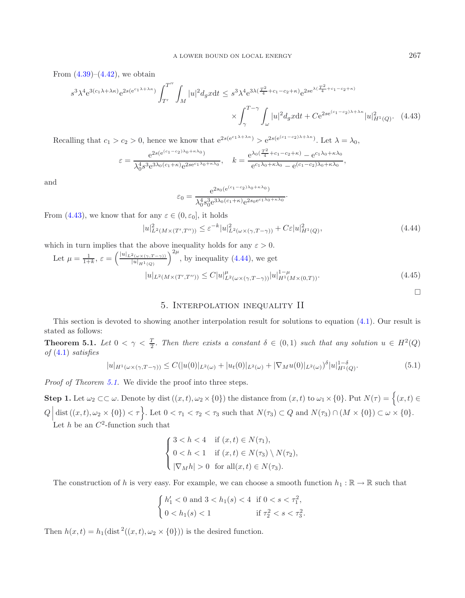<span id="page-12-0"></span>From  $(4.39)$ – $(4.42)$ , we obtain

$$
s^{3} \lambda^{4} e^{3(c_{1}\lambda + \lambda\kappa)} e^{2s(e^{c_{1}\lambda + \lambda\kappa})} \int_{T'}^{T''} \int_{M} |u|^{2} d_{g}x dt \leq s^{3} \lambda^{4} e^{3\lambda(\frac{T^{2}}{4} + c_{1} - c_{2} + \kappa)} e^{2se^{\lambda(\frac{T^{2}}{4} + c_{1} - c_{2} + \kappa)}}
$$

$$
\times \int_{\gamma}^{T-\gamma} \int_{\omega} |u|^{2} d_{g}x dt + C e^{2se^{(c_{1} - c_{2})\lambda + \lambda\kappa}} |u|^{2}_{H^{1}(Q)}. \quad (4.43)
$$

Recalling that  $c_1 > c_2 > 0$ , hence we know that  $e^{2s(e^{c_1\lambda + \lambda\kappa})} > e^{2s(e^{(c_1-c_2)\lambda + \lambda\kappa})}$ . Let  $\lambda = \lambda_0$ ,

<span id="page-12-1"></span>
$$
\varepsilon = \frac{e^{2s(e^{(c_1-c_2)\lambda_0 + \kappa\lambda_0})}}{\lambda_0^4 s^3 e^{3\lambda_0 (c_1 + \kappa)} e^{2se^{c_1\lambda_0 + \kappa\lambda_0}}}, \quad k = \frac{e^{\lambda_0(\frac{T^2}{4} + c_1 - c_2 + \kappa)} - e^{c_1\lambda_0 + \kappa\lambda_0}}{e^{c_1\lambda_0 + \kappa\lambda_0} - e^{(c_1 - c_2)\lambda_0 + \kappa\lambda_0}},
$$

and

$$
\varepsilon_0 = \frac{e^{2s_0(e^{(c_1-c_2)\lambda_0+\kappa\lambda_0})}}{\lambda_0^4 s_0^3 e^{3\lambda_0(c_1+\kappa)} e^{2s_0e^{c_1\lambda_0+\kappa\lambda_0}}}.
$$

From [\(4.43\)](#page-12-0), we know that for any  $\varepsilon \in (0, \varepsilon_0]$ , it holds

$$
|u|_{L^2(M\times(T',T''))}^2 \leq \varepsilon^{-k}|u|_{L^2(\omega\times(\gamma,T-\gamma))}^2 + C\varepsilon|u|_{H^1(Q)}^2,
$$
\n
$$
(4.44)
$$

which in turn implies that the above inequality holds for any  $\varepsilon > 0$ .

Let 
$$
\mu = \frac{1}{1+k}
$$
,  $\varepsilon = \left(\frac{|u|_{L^2(\omega \times (\gamma, T-\gamma))}}{|u|_{H^1(Q)}}\right)^{2\mu}$ , by inequality (4.44), we get  
\n
$$
|u|_{L^2(M \times (T', T''))} \le C|u|_{L^2(\omega \times (\gamma, T-\gamma))}^{\mu}|u|_{H^1(M \times (0,T))}^{1-\mu}.
$$
\n(4.45)

### 5. Interpolation inequality II

<span id="page-12-2"></span>This section is devoted to showing another interpolation result for solutions to equation [\(4.1\)](#page-6-3). Our result is stated as follows:

**Theorem 5.1.** Let  $0 < \gamma < \frac{T}{2}$ . Then there exists a constant  $\delta \in (0,1)$  such that any solution  $u \in H^2(Q)$ *of* [\(4.1\)](#page-6-3) *satisfies*

$$
|u|_{H^1(\omega \times (\gamma, T - \gamma))} \le C(|u(0)|_{L^2(\omega)} + |u_t(0)|_{L^2(\omega)} + |\nabla_M u(0)|_{L^2(\omega)})^{\delta} |u|_{H^1(Q)}^{1-\delta}.
$$
\n(5.1)

*Proof of Theorem [5.1.](#page-12-2)* We divide the proof into three steps.

**Step 1.** Let  $\omega_2 \subset\subset \omega$ . Denote by dist  $((x,t), \omega_2 \times \{0\})$  the distance from  $(x,t)$  to  $\omega_1 \times \{0\}$ . Put  $N(\tau) = \{(x,t) \in$  $Q \left[ \text{dist}((x,t), \omega_2 \times \{0\}) < \tau \right]$ . Let  $0 < \tau_1 < \tau_2 < \tau_3$  such that  $N(\tau_3) \subset Q$  and  $N(\tau_3) \cap (M \times \{0\}) \subset \omega \times \{0\}$ . Let h be an  $C^2$ -function such that

$$
\begin{cases}\n3 < h < 4 \quad \text{if } (x, t) \in N(\tau_1), \\
0 < h < 1 \quad \text{if } (x, t) \in N(\tau_3) \setminus N(\tau_2), \\
|\nabla_M h| > 0 \quad \text{for all } (x, t) \in N(\tau_3).\n\end{cases}
$$

The construction of h is very easy. For example, we can choose a smooth function  $h_1 : \mathbb{R} \to \mathbb{R}$  such that

$$
\begin{cases} h_1' < 0 \text{ and } 3 < h_1(s) < 4 \text{ if } 0 < s < \tau_1^2, \\ 0 < h_1(s) < 1 \text{ if } \tau_2^2 < s < \tau_3^2. \end{cases}
$$

Then  $h(x,t) = h_1(\text{dist}^2((x,t), \omega_2 \times \{0\}))$  is the desired function.

 $\Box$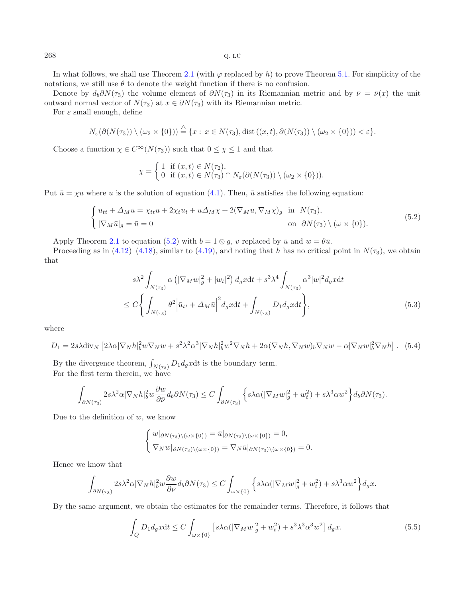In what follows, we shall use Theorem [2.1](#page-2-1) (with  $\varphi$  replaced by h) to prove Theorem [5.1.](#page-12-2) For simplicity of the notations, we still use  $\theta$  to denote the weight function if there is no confusion.

Denote by  $d_b\partial N(\tau_3)$  the volume element of  $\partial N(\tau_3)$  in its Riemannian metric and by  $\bar{\nu} = \bar{\nu}(x)$  the unit outward normal vector of  $N(\tau_3)$  at  $x \in \partial N(\tau_3)$  with its Riemannian metric.

For  $\varepsilon$  small enough, define

$$
N_{\varepsilon}(\partial(N(\tau_3))\setminus(\omega_2\times\{0\}))\stackrel{\triangle}{=} \{x:\,x\in N(\tau_3),\,\mathrm{dist}\left((x,t),\partial(N(\tau_3))\setminus(\omega_2\times\{0\})\right)<\varepsilon\}.
$$

Choose a function  $\chi \in C^{\infty}(N(\tau_3))$  such that  $0 \leq \chi \leq 1$  and that

$$
\chi = \begin{cases} 1 & \text{if } (x,t) \in N(\tau_2), \\ 0 & \text{if } (x,t) \in N(\tau_3) \cap N_{\varepsilon}(\partial(N(\tau_3)) \setminus (\omega_2 \times \{0\})). \end{cases}
$$

<span id="page-13-0"></span>Put  $\bar{u} = \chi u$  where u is the solution of equation [\(4.1\)](#page-6-3). Then,  $\bar{u}$  satisfies the following equation:

$$
\begin{cases} \bar{u}_{tt} + \Delta_M \bar{u} = \chi_{tt} u + 2\chi_t u_t + u \Delta_M \chi + 2(\nabla_M u, \nabla_M \chi)_g & \text{in } N(\tau_3), \\ |\nabla_M \bar{u}|_g = \bar{u} = 0 & \text{on } \partial N(\tau_3) \setminus (\omega \times \{0\}). \end{cases} \tag{5.2}
$$

Apply Theorem [2.1](#page-2-1) to equation [\(5.2\)](#page-13-0) with  $b = 1 \otimes g$ , v replaced by  $\bar{u}$  and  $w = \theta \bar{u}$ .

<span id="page-13-1"></span>Proceeding as in [\(4.12\)](#page-7-4)–[\(4.18\)](#page-8-0), similar to [\(4.19\)](#page-8-1), and noting that h has no critical point in  $N(\tau_3)$ , we obtain that

$$
s\lambda^2 \int_{N(\tau_3)} \alpha \left( |\nabla_M w|_g^2 + |w_t|^2 \right) d_g x \mathrm{d}t + s^3 \lambda^4 \int_{N(\tau_3)} \alpha^3 |w|^2 d_g x \mathrm{d}t
$$
  

$$
\leq C \Biggl\{ \int_{N(\tau_3)} \theta^2 \Big| \bar{u}_{tt} + \Delta_M \bar{u} \Big|^{2} d_g x \mathrm{d}t + \int_{N(\tau_3)} D_1 d_g x \mathrm{d}t \Biggr\},
$$
(5.3)

where

$$
D_1 = 2s\lambda \text{div}_N \left[ 2\lambda \alpha |\nabla_N h|_b^2 w \nabla_N w + s^2 \lambda^2 \alpha^3 |\nabla_N h|_b^2 w^2 \nabla_N h + 2\alpha (\nabla_N h, \nabla_N w)_b \nabla_N w - \alpha |\nabla_N w|_b^2 \nabla_N h \right]. \tag{5.4}
$$

By the divergence theorem,  $\int_{N(\tau_3)} D_1 d_g x dt$  is the boundary term.<br>For the first term therein, we have For the first term therein, we have

$$
\int_{\partial N(\tau_3)} 2s\lambda^2 \alpha |\nabla_N h|_b^2 w \frac{\partial w}{\partial \bar{\nu}} d_b \partial N(\tau_3) \le C \int_{\partial N(\tau_3)} \left\{ s\lambda \alpha (|\nabla_M w|_g^2 + w_t^2) + s\lambda^3 \alpha w^2 \right\} d_b \partial N(\tau_3).
$$

Due to the definition of  $w$ , we know

$$
\begin{cases} w|_{\partial N(\tau_3)\setminus(\omega\times\{0\})} = \bar{u}|_{\partial N(\tau_3)\setminus(\omega\times\{0\})} = 0, \\ \nabla_N w|_{\partial N(\tau_3)\setminus(\omega\times\{0\})} = \nabla_N \bar{u}|_{\partial N(\tau_3)\setminus(\omega\times\{0\})} = 0. \end{cases}
$$

Hence we know that

$$
\int_{\partial N(\tau_3)} 2s\lambda^2 \alpha |\nabla_N h|_b^2 w \frac{\partial w}{\partial \bar{\nu}} d_b \partial N(\tau_3) \le C \int_{\omega \times \{0\}} \left\{ s\lambda \alpha (|\nabla_M w|_g^2 + w_t^2) + s\lambda^3 \alpha w^2 \right\} d_g x.
$$

<span id="page-13-2"></span>By the same argument, we obtain the estimates for the remainder terms. Therefore, it follows that

$$
\int_{Q} D_1 d_g x dt \le C \int_{\omega \times \{0\}} \left[ s \lambda \alpha (|\nabla_M w|_g^2 + w_t^2) + s^3 \lambda^3 \alpha^3 w^2 \right] d_g x. \tag{5.5}
$$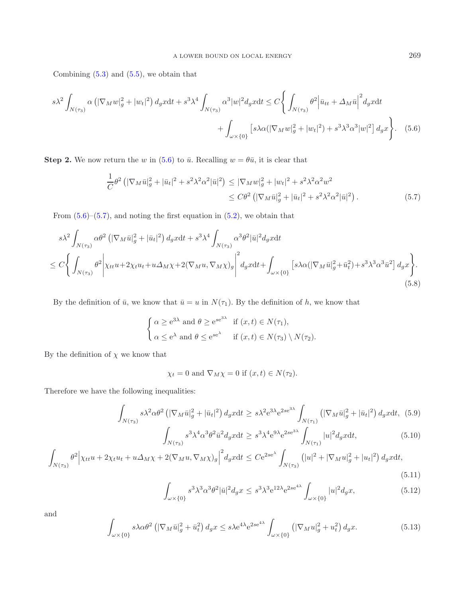Combining  $(5.3)$  and  $(5.5)$ , we obtain that

$$
s\lambda^2 \int_{N(\tau_3)} \alpha \left( |\nabla_M w|_g^2 + |w_t|^2 \right) d_g x \mathrm{d}t + s^3 \lambda^4 \int_{N(\tau_3)} \alpha^3 |w|^2 d_g x \mathrm{d}t \le C \Biggl\{ \int_{N(\tau_3)} \theta^2 \Big| \bar{u}_{tt} + \Delta_M \bar{u} \Big|^{2} d_g x \mathrm{d}t + \int_{\omega \times \{0\}} \Bigl[ s\lambda \alpha \left( |\nabla_M w|_g^2 + |w_t|^2 \right) + s^3 \lambda^3 \alpha^3 |w|^2 \Bigr] d_g x \Biggr\}. \tag{5.6}
$$

<span id="page-14-1"></span>**Step 2.** We now return the w in [\(5.6\)](#page-14-0) to  $\bar{u}$ . Recalling  $w = \theta \bar{u}$ , it is clear that

<span id="page-14-0"></span>
$$
\frac{1}{C}\theta^2 \left( |\nabla_M \bar{u}|_g^2 + |\bar{u}_t|^2 + s^2 \lambda^2 \alpha^2 |\bar{u}|^2 \right) \le |\nabla_M w|_g^2 + |w_t|^2 + s^2 \lambda^2 \alpha^2 w^2
$$
  

$$
\le C\theta^2 \left( |\nabla_M \bar{u}|_g^2 + |\bar{u}_t|^2 + s^2 \lambda^2 \alpha^2 |\bar{u}|^2 \right). \tag{5.7}
$$

From  $(5.6)$ – $(5.7)$ , and noting the first equation in  $(5.2)$ , we obtain that

<span id="page-14-2"></span>
$$
s\lambda^{2} \int_{N(\tau_{3})} \alpha \theta^{2} \left( |\nabla_{M}\bar{u}|_{g}^{2} + |\bar{u}_{t}|^{2} \right) d_{g}x dt + s^{3}\lambda^{4} \int_{N(\tau_{3})} \alpha^{3} \theta^{2} |\bar{u}|^{2} d_{g}x dt
$$
  

$$
\leq C \Biggl\{ \int_{N(\tau_{3})} \theta^{2} \Biggl| \chi_{tt} u + 2\chi_{t} u_{t} + u \Delta_{M} \chi + 2(\nabla_{M} u, \nabla_{M} \chi)_{g} \Biggr|^{2} d_{g}x dt + \int_{\omega \times \{0\}} \left[ s\lambda \alpha (|\nabla_{M}\bar{u}|_{g}^{2} + \bar{u}_{t}^{2}) + s^{3}\lambda^{3} \alpha^{3} \bar{u}^{2} \right] d_{g}x \Biggr\}.
$$
  
(5.8)

By the definition of  $\bar{u}$ , we know that  $\bar{u} = u$  in  $N(\tau_1)$ . By the definition of h, we know that

$$
\begin{cases} \alpha \ge e^{3\lambda} \text{ and } \theta \ge e^{se^{3\lambda}} \text{ if } (x, t) \in N(\tau_1), \\ \alpha \le e^{\lambda} \text{ and } \theta \le e^{se^{\lambda}} \text{ if } (x, t) \in N(\tau_3) \setminus N(\tau_2). \end{cases}
$$

By the definition of  $\chi$  we know that

$$
\chi_t = 0
$$
 and  $\nabla_M \chi = 0$  if  $(x, t) \in N(\tau_2)$ .

<span id="page-14-3"></span>Therefore we have the following inequalities:

$$
\int_{N(\tau_3)} s\lambda^2 \alpha \theta^2 \left( |\nabla_M \bar{u}|_g^2 + |\bar{u}_t|^2 \right) d_g x \mathrm{d}t \geq s\lambda^2 \mathrm{e}^{3\lambda} \mathrm{e}^{2\mathrm{se}^{3\lambda}} \int_{N(\tau_1)} \left( |\nabla_M \bar{u}|_g^2 + |\bar{u}_t|^2 \right) d_g x \mathrm{d}t, \tag{5.9}
$$

$$
\int_{N(\tau_3)} s^3 \lambda^4 \alpha^3 \theta^2 \bar{u}^2 d_g x dt \geq s^3 \lambda^4 e^{9\lambda} e^{2se^{3\lambda}} \int_{N(\tau_1)} |u|^2 d_g x dt,
$$
\n(5.10)

$$
\int_{N(\tau_3)} \theta^2 \Big| \chi_{tt} u + 2\chi_t u_t + u \Delta_M \chi + 2(\nabla_M u, \nabla_M \chi)_g \Big|^2 d_g x dt \leq C e^{2se^{\lambda}} \int_{N(\tau_3)} \left( |u|^2 + |\nabla_M u|_g^2 + |u_t|^2 \right) d_g x dt,
$$
\n(5.11)

$$
\int_{\omega \times \{0\}} s^3 \lambda^3 \alpha^3 \theta^2 |\bar{u}|^2 d_g x \leq s^3 \lambda^3 e^{12\lambda} e^{2se^{4\lambda}} \int_{\omega \times \{0\}} |u|^2 d_g x,\tag{5.12}
$$

and

$$
\int_{\omega \times \{0\}} s\lambda \alpha \theta^2 \left( |\nabla_M \bar{u}|_g^2 + \bar{u}_t^2 \right) d_g x \le s\lambda e^{4\lambda} e^{2se^{4\lambda}} \int_{\omega \times \{0\}} \left( |\nabla_M u|_g^2 + u_t^2 \right) d_g x. \tag{5.13}
$$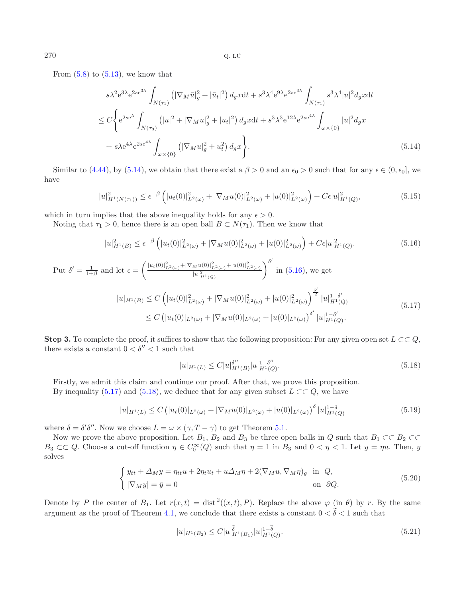<span id="page-15-0"></span>From  $(5.8)$  to  $(5.13)$ , we know that

$$
s\lambda^{2}e^{3\lambda}e^{2se^{3\lambda}}\int_{N(\tau_{1})} \left( |\nabla_{M}\bar{u}|_{g}^{2} + |\bar{u}_{t}|^{2} \right) d_{g}xdt + s^{3}\lambda^{4}e^{9\lambda}e^{2se^{3\lambda}}\int_{N(\tau_{1})} s^{3}\lambda^{4}|u|^{2}d_{g}xdt
$$
  
\n
$$
\leq C\Biggl\{e^{2se^{\lambda}}\int_{N(\tau_{3})} \left( |u|^{2} + |\nabla_{M}u|_{g}^{2} + |u_{t}|^{2} \right) d_{g}xdt + s^{3}\lambda^{3}e^{12\lambda}e^{2se^{4\lambda}}\int_{\omega\times\{0\}} |u|^{2}d_{g}x + s\lambda e^{4\lambda}e^{2se^{4\lambda}}\int_{\omega\times\{0\}} \left( |\nabla_{M}u|_{g}^{2} + u_{t}^{2} \right) d_{g}x \Biggr\}. \tag{5.14}
$$

Similar to [\(4.44\)](#page-12-1), by [\(5.14\)](#page-15-0), we obtain that there exist a  $\beta > 0$  and an  $\epsilon_0 > 0$  such that for any  $\epsilon \in (0, \epsilon_0]$ , we have

<span id="page-15-2"></span>
$$
|u|_{H^1(N(\tau_1))}^2 \le \epsilon^{-\beta} \left( |u_t(0)|_{L^2(\omega)}^2 + |\nabla_M u(0)|_{L^2(\omega)}^2 + |u(0)|_{L^2(\omega)}^2 \right) + C\epsilon |u|_{H^1(Q)}^2,
$$
\n(5.15)

which in turn implies that the above inequality holds for any  $\epsilon > 0$ .

<span id="page-15-1"></span>Noting that  $\tau_1 > 0$ , hence there is an open ball  $B \subset N(\tau_1)$ . Then we know that

$$
|u|_{H^1(B)}^2 \le \epsilon^{-\beta} \left( |u_t(0)|_{L^2(\omega)}^2 + |\nabla_M u(0)|_{L^2(\omega)}^2 + |u(0)|_{L^2(\omega)}^2 \right) + C\epsilon |u|_{H^1(Q)}^2.
$$
\n(5.16)

Put 
$$
\delta' = \frac{1}{1+\beta}
$$
 and let  $\epsilon = \left(\frac{|u_t(0)|_{L^2(\omega)}^2 + |\nabla_M u(0)|_{L^2(\omega)}^2 + |u(0)|_{L^2(\omega)}^2}{|u|_{H^1(Q)}^2}\right)^{\delta'}$  in (5.16), we get  
\n
$$
|u|_{H^1(B)} \le C \left( |u_t(0)|_{L^2(\omega)}^2 + |\nabla_M u(0)|_{L^2(\omega)}^2 + |u(0)|_{L^2(\omega)}^2 \right)^{\frac{\delta'}{2}} |u|_{H^1(Q)}^{1-\delta'}
$$
\n
$$
\le C \left( |u_t(0)|_{L^2(\omega)} + |\nabla_M u(0)|_{L^2(\omega)} + |u(0)|_{L^2(\omega)} \right)^{\delta'} |u|_{H^1(Q)}^{1-\delta'}.
$$
\n(5.17)

**Step 3.** To complete the proof, it suffices to show that the following proposition: For any given open set  $L \subset\subset Q$ , there exists a constant  $0 < \delta'' < 1$  such that

$$
|u|_{H^1(L)} \le C|u|_{H^1(B)}^{\delta''}|u|_{H^1(Q)}^{1-\delta''}.
$$
\n(5.18)

Firstly, we admit this claim and continue our proof. After that, we prove this proposition.

By inequality [\(5.17\)](#page-15-2) and [\(5.18\)](#page-15-3), we deduce that for any given subset  $L \subset\subset Q$ , we have

<span id="page-15-3"></span>
$$
|u|_{H^{1}(L)} \leq C \left( |u_{t}(0)|_{L^{2}(\omega)} + |\nabla_{M} u(0)|_{L^{2}(\omega)} + |u(0)|_{L^{2}(\omega)} \right)^{\delta} |u|_{H^{1}(Q)}^{1-\delta}
$$
\n(5.19)

where  $\delta = \delta' \delta''$ . Now we choose  $L = \omega \times (\gamma, T - \gamma)$  to get Theorem [5.1.](#page-12-2)

Now we prove the above proposition. Let  $B_1$ ,  $B_2$  and  $B_3$  be three open balls in Q such that  $B_1 \subset\subset B_2 \subset\subset$  $B_3 \subset\subset Q$ . Choose a cut-off function  $\eta \in C_0^{\infty}(Q)$  such that  $\eta = 1$  in  $B_3$  and  $0 < \eta < 1$ . Let  $y = \eta u$ . Then, y solves

$$
\begin{cases}\ny_{tt} + \Delta_M y = \eta_{tt} u + 2\eta_t u_t + u\Delta_M \eta + 2(\nabla_M u, \nabla_M \eta)_g & \text{in } Q, \\
|\nabla_M y| = \bar{y} = 0 & \text{on } \partial Q.\n\end{cases}
$$
\n(5.20)

Denote by P the center of  $B_1$ . Let  $r(x,t) = \text{dist}^2((x,t), P)$ . Replace the above  $\varphi$  (in  $\theta$ ) by r. By the same argument as the proof of Theorem [4.1,](#page-6-0) we conclude that there exists a constant  $0 < \tilde{\delta} < 1$  such that

<span id="page-15-4"></span>
$$
|u|_{H^1(B_2)} \le C|u|_{H^1(B_1)}^{\tilde{\delta}}|u|_{H^1(Q)}^{1-\tilde{\delta}}.
$$
\n(5.21)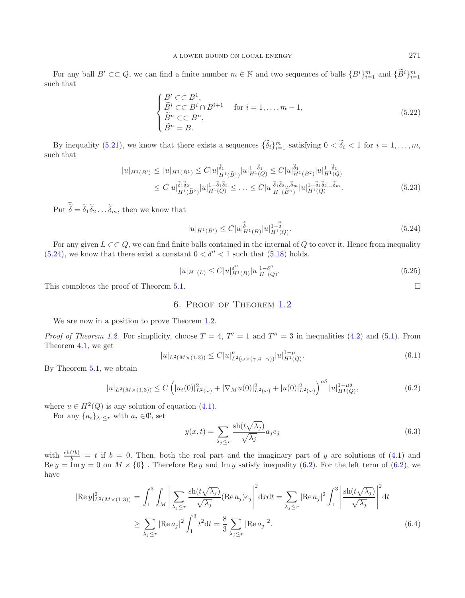For any ball  $B' \subset\subset Q$ , we can find a finite number  $m \in \mathbb{N}$  and two sequences of balls  $\{B^i\}_{i=1}^m$  and  $\{\widetilde{B}^i\}_{i=1}^m$ such that

$$
\begin{cases}\nB' \subset\subset B^1, \\
\widetilde{B}^i \subset\subset B^i \cap B^{i+1} & \text{for } i = 1, \dots, m-1, \\
\widetilde{B}^n \subset\subset B^n, \\
\widetilde{B}^n = B.\n\end{cases}
$$
\n(5.22)

By inequality [\(5.21\)](#page-15-4), we know that there exists a sequences  $\{\delta_i\}_{i=1}^m$  satisfying  $0 < \delta_i < 1$  for  $i = 1, \ldots, m$ , such that

<span id="page-16-0"></span>
$$
|u|_{H^1(B')} \le |u|_{H^1(B^1)} \le C|u|_{H^1(\tilde{B}^1)}^{\tilde{\delta}_1} |u|_{H^1(Q)}^{1-\tilde{\delta}_1} \le C|u|_{H^1(B^2)}^{\tilde{\delta}_1} |u|_{H^1(Q)}^{1-\tilde{\delta}_1}
$$
  
\n
$$
\le C|u|_{H^1(\tilde{B}^2)}^{\tilde{\delta}_1 \tilde{\delta}_2} |u|_{H^1(Q)}^{1-\tilde{\delta}_1 \tilde{\delta}_2} \le \dots \le C|u|_{H^1(\tilde{B}^n)}^{\tilde{\delta}_1 \tilde{\delta}_2} |u|_{H^1(Q)}^{1-\tilde{\delta}_1 \tilde{\delta}_2} \dots \tilde{\delta}_m.
$$
\n(5.23)

Put  $\delta = \delta_1 \delta_2 \dots \delta_m$ , then we know that

$$
|u|_{H^1(B')} \le C|u|_{H^1(B)}^{\tilde{\tilde{\delta}}}|u|_{H^1(Q)}^{1-\tilde{\tilde{\delta}}}.
$$
\n(5.24)

<span id="page-16-1"></span>For any given  $L \subset\subset Q$ , we can find finite balls contained in the internal of Q to cover it. Hence from inequality [\(5.24\)](#page-16-0), we know that there exist a constant  $0 < \delta'' < 1$  such that [\(5.18\)](#page-15-3) holds.

$$
|u|_{H^1(L)} \le C|u|_{H^1(B)}^{\delta''}|u|_{H^1(Q)}^{1-\delta''}.
$$
\n(5.25)

This completes the proof of Theorem [5.1.](#page-12-2)  $\Box$ 

### 6. Proof of Theorem [1.2](#page-1-2)

We are now in a position to prove Theorem [1.2.](#page-1-2)

*Proof of Theorem [1.2.](#page-1-2)* For simplicity, choose  $T = 4$ ,  $T' = 1$  and  $T'' = 3$  in inequalities [\(4.2\)](#page-6-7) and [\(5.1\)](#page-12-2). From Theorem [4.1,](#page-6-0) we get

$$
|u|_{L^{2}(M\times(1,3))} \leq C|u|_{L^{2}(\omega\times(\gamma,4-\gamma))}^{\mu}|u|_{H^{1}(Q)}^{1-\mu}.
$$
\n(6.1)

By Theorem [5.1,](#page-12-2) we obtain

$$
|u|_{L^{2}(M\times(1,3))} \leq C\left(|u_{t}(0)|_{L^{2}(\omega)}^{2} + |\nabla_{M}u(0)|_{L^{2}(\omega)}^{2} + |u(0)|_{L^{2}(\omega)}^{2}\right)^{\mu_{0}}|u|_{H^{1}(Q)}^{1-\mu_{0}},\tag{6.2}
$$

where  $u \in H^2(Q)$  is any solution of equation [\(4.1\)](#page-6-3).

For any  $\{a_i\}_{\lambda_i\leq r}$  with  $a_i \in \mathbb{C}$ , set

$$
y(x,t) = \sum_{\lambda_j \le r} \frac{\text{sh}(t\sqrt{\lambda_j})}{\sqrt{\lambda_j}} a_j e_j \tag{6.3}
$$

with  $\frac{\sin(tb)}{b} = t$  if  $b = 0$ . Then, both the real part and the imaginary part of y are solutions of [\(4.1\)](#page-6-3) and Re  $y = \text{Im } y = 0$  on  $M \times \{0\}$ . Therefore Re y and Im y satisfy inequality [\(6.2\)](#page-16-1). For the left term of (6.2), have

$$
|\text{Re } y|_{L^{2}(M\times(1,3))}^{2} = \int_{1}^{3} \int_{M} \left| \sum_{\lambda_{j}\leq r} \frac{\text{sh}(t\sqrt{\lambda_{j}})}{\sqrt{\lambda_{j}}} (\text{Re } a_{j}) e_{j} \right|^{2} dx dt = \sum_{\lambda_{j}\leq r} |\text{Re } a_{j}|^{2} \int_{1}^{3} \left| \frac{\text{sh}(t\sqrt{\lambda_{j}})}{\sqrt{\lambda_{j}}} \right|^{2} dt
$$
  

$$
\geq \sum_{\lambda_{j}\leq r} |\text{Re } a_{j}|^{2} \int_{1}^{3} t^{2} dt = \frac{8}{3} \sum_{\lambda_{j}\leq r} |\text{Re } a_{j}|^{2}.
$$
 (6.4)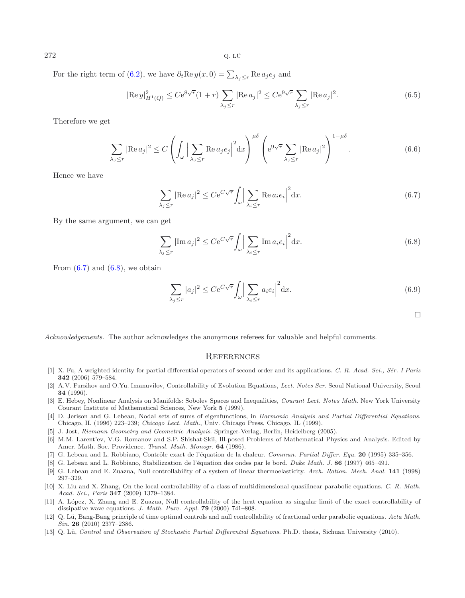$272$  Q. LÜ

For the right term of [\(6.2\)](#page-16-1), we have  $\partial_t \text{Re } y(x,0) = \sum_{\lambda_j \leq r} \text{Re } a_j e_j$  and

$$
|\text{Re } y|_{H^1(Q)}^2 \le Ce^{8\sqrt{r}}(1+r) \sum_{\lambda_j \le r} |\text{Re } a_j|^2 \le Ce^{9\sqrt{r}} \sum_{\lambda_j \le r} |\text{Re } a_j|^2. \tag{6.5}
$$

Therefore we get

$$
\sum_{\lambda_j \le r} |\text{Re } a_j|^2 \le C \left( \int_{\omega} \Big| \sum_{\lambda_j \le r} \text{Re } a_j e_j \Big|^2 dx \right)^{\mu \delta} \left( e^{9\sqrt{r}} \sum_{\lambda_j \le r} |\text{Re } a_j|^2 \right)^{1-\mu \delta}.
$$
 (6.6)

<span id="page-17-13"></span>Hence we have

$$
\sum_{\lambda_j \le r} |\text{Re } a_j|^2 \le C e^{C\sqrt{r}} \int_{\omega} \left| \sum_{\lambda_i \le r} \text{Re } a_i e_i \right|^2 dx. \tag{6.7}
$$

<span id="page-17-14"></span>By the same argument, we can get

$$
\sum_{\lambda_j \le r} |\text{Im } a_j|^2 \le C e^{C\sqrt{r}} \int_{\omega} \left| \sum_{\lambda_i \le r} \text{Im } a_i e_i \right|^2 dx. \tag{6.8}
$$

From  $(6.7)$  and  $(6.8)$ , we obtain

$$
\sum_{\lambda_j \le r} |a_j|^2 \le C e^{C\sqrt{r}} \int_{\omega} \left| \sum_{\lambda_i \le r} a_i e_i \right|^2 dx.
$$
\n(6.9)

 $\Box$ 

*Acknowledgements.* The author acknowledges the anonymous referees for valuable and helpful comments.

#### **REFERENCES**

- <span id="page-17-9"></span>[1] X. Fu, A weighted identity for partial differential operators of second order and its applications. C. R. Acad. Sci., Sér. I Paris **342** (2006) 579–584.
- <span id="page-17-7"></span>[2] A.V. Fursikov and O.Yu. Imanuvilov, Controllability of Evolution Equations, Lect. Notes Ser. Seoul National University, Seoul **34** (1996).
- <span id="page-17-0"></span>[3] E. Hebey, Nonlinear Analysis on Manifolds: Sobolev Spaces and Inequalities, Courant Lect. Notes Math. New York University Courant Institute of Mathematical Sciences, New York **5** (1999).
- <span id="page-17-2"></span>[4] D. Jerison and G. Lebeau, Nodal sets of sums of eigenfunctions, in Harmonic Analysis and Partial Differential Equations. Chicago, IL (1996) 223–239; Chicago Lect. Math., Univ. Chicago Press, Chicago, IL (1999).
- [5] J. Jost, Riemann Geometry and Geometric Analysis. Springer-Verlag, Berlin, Heidelberg (2005).
- <span id="page-17-10"></span><span id="page-17-8"></span>[6] M.M. Larent'ev, V.G. Romanov and S.P. Shishat·Skii, Ill-posed Problems of Mathematical Physics and Analysis. Edited by Amer. Math. Soc. Providence. Transl. Math. Monogr. **64** (1986).
- <span id="page-17-3"></span>[7] G. Lebeau and L. Robbiano, Contrôle exact de l'équation de la chaleur. Commun. Partial Differ. Equ. 20 (1995) 335–356.
- <span id="page-17-12"></span>[8] G. Lebeau and L. Robbiano, Stabilizzation de l'´equation des ondes par le bord. Duke Math. J. **86** (1997) 465–491.
- [9] G. Lebeau and E. Zuazua, Null controllability of a system of linear thermoelasticity. Arch. Ration. Mech. Anal. **141** (1998) 297–329.
- <span id="page-17-11"></span><span id="page-17-4"></span>[10] X. Liu and X. Zhang, On the local controllability of a class of multidimensional quasilinear parabolic equations. C. R. Math. Acad. Sci., Paris **347** (2009) 1379–1384.
- <span id="page-17-5"></span>[11] A. L´opez, X. Zhang and E. Zuazua, Null controllability of the heat equation as singular limit of the exact controllability of dissipative wave equations. J. Math. Pure. Appl. **79** (2000) 741–808.
- <span id="page-17-6"></span>[12] Q. Lü, Bang-Bang principle of time optimal controls and null controllability of fractional order parabolic equations. Acta Math. Sin. **26** (2010) 2377–2386.
- <span id="page-17-1"></span>[13] Q. Lü, Control and Observation of Stochastic Partial Differential Equations. Ph.D. thesis, Sichuan University (2010).